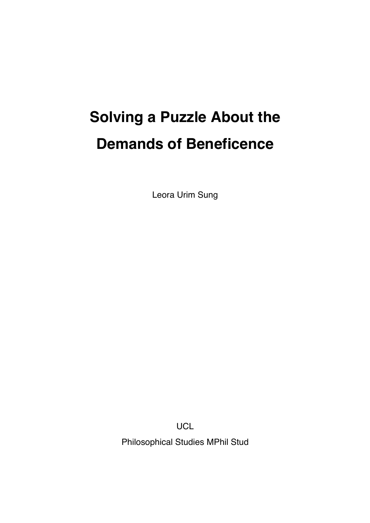# **Solving a Puzzle About the Demands of Beneficence**

Leora Urim Sung

**UCL** 

Philosophical Studies MPhil Stud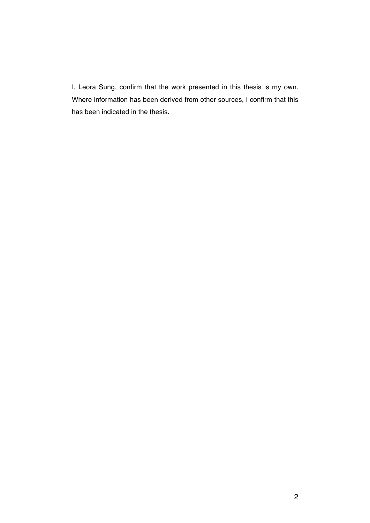I, Leora Sung, confirm that the work presented in this thesis is my own. Where information has been derived from other sources, I confirm that this has been indicated in the thesis.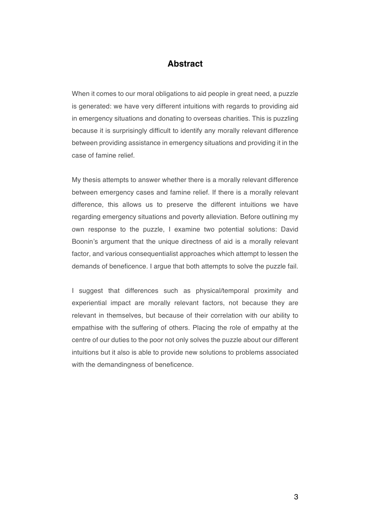## **Abstract**

When it comes to our moral obligations to aid people in great need, a puzzle is generated: we have very different intuitions with regards to providing aid in emergency situations and donating to overseas charities. This is puzzling because it is surprisingly difficult to identify any morally relevant difference between providing assistance in emergency situations and providing it in the case of famine relief.

My thesis attempts to answer whether there is a morally relevant difference between emergency cases and famine relief. If there is a morally relevant difference, this allows us to preserve the different intuitions we have regarding emergency situations and poverty alleviation. Before outlining my own response to the puzzle, I examine two potential solutions: David Boonin's argument that the unique directness of aid is a morally relevant factor, and various consequentialist approaches which attempt to lessen the demands of beneficence. I argue that both attempts to solve the puzzle fail.

I suggest that differences such as physical/temporal proximity and experiential impact are morally relevant factors, not because they are relevant in themselves, but because of their correlation with our ability to empathise with the suffering of others. Placing the role of empathy at the centre of our duties to the poor not only solves the puzzle about our different intuitions but it also is able to provide new solutions to problems associated with the demandingness of beneficence.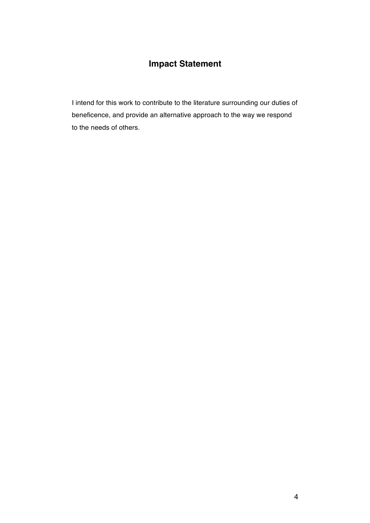# **Impact Statement**

I intend for this work to contribute to the literature surrounding our duties of beneficence, and provide an alternative approach to the way we respond to the needs of others.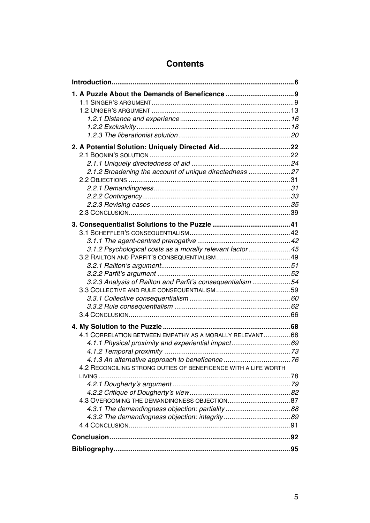| 2.1.2 Broadening the account of unique directedness 27         |  |
|----------------------------------------------------------------|--|
|                                                                |  |
|                                                                |  |
|                                                                |  |
|                                                                |  |
|                                                                |  |
|                                                                |  |
|                                                                |  |
|                                                                |  |
| 3.1.2 Psychological costs as a morally relevant factor 45      |  |
|                                                                |  |
|                                                                |  |
| 3.2.3 Analysis of Railton and Parfit's consequentialism 54     |  |
|                                                                |  |
|                                                                |  |
|                                                                |  |
|                                                                |  |
|                                                                |  |
| 4.1 CORRELATION BETWEEN EMPATHY AS A MORALLY RELEVANT68        |  |
|                                                                |  |
|                                                                |  |
|                                                                |  |
| 4.2 RECONCILING STRONG DUTIES OF BENEFICENCE WITH A LIFE WORTH |  |
| LIVING                                                         |  |
|                                                                |  |
|                                                                |  |
|                                                                |  |
|                                                                |  |
|                                                                |  |
|                                                                |  |
|                                                                |  |
|                                                                |  |

## **Contents**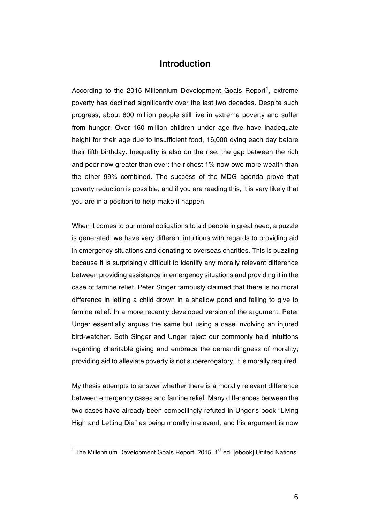### **Introduction**

According to the 2015 Millennium Development Goals Report<sup>1</sup>, extreme poverty has declined significantly over the last two decades. Despite such progress, about 800 million people still live in extreme poverty and suffer from hunger. Over 160 million children under age five have inadequate height for their age due to insufficient food, 16,000 dying each day before their fifth birthday. Inequality is also on the rise, the gap between the rich and poor now greater than ever: the richest 1% now owe more wealth than the other 99% combined. The success of the MDG agenda prove that poverty reduction is possible, and if you are reading this, it is very likely that you are in a position to help make it happen.

When it comes to our moral obligations to aid people in great need, a puzzle is generated: we have very different intuitions with regards to providing aid in emergency situations and donating to overseas charities. This is puzzling because it is surprisingly difficult to identify any morally relevant difference between providing assistance in emergency situations and providing it in the case of famine relief. Peter Singer famously claimed that there is no moral difference in letting a child drown in a shallow pond and failing to give to famine relief. In a more recently developed version of the argument, Peter Unger essentially argues the same but using a case involving an injured bird-watcher. Both Singer and Unger reject our commonly held intuitions regarding charitable giving and embrace the demandingness of morality; providing aid to alleviate poverty is not supererogatory, it is morally required.

My thesis attempts to answer whether there is a morally relevant difference between emergency cases and famine relief. Many differences between the two cases have already been compellingly refuted in Unger's book "Living High and Letting Die" as being morally irrelevant, and his argument is now

 $1$  The Millennium Development Goals Report. 2015.  $1<sup>st</sup>$  ed. [ebook] United Nations.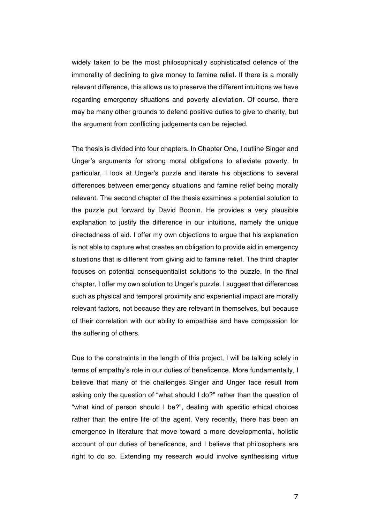widely taken to be the most philosophically sophisticated defence of the immorality of declining to give money to famine relief. If there is a morally relevant difference, this allows us to preserve the different intuitions we have regarding emergency situations and poverty alleviation. Of course, there may be many other grounds to defend positive duties to give to charity, but the argument from conflicting judgements can be rejected.

The thesis is divided into four chapters. In Chapter One, I outline Singer and Unger's arguments for strong moral obligations to alleviate poverty. In particular, I look at Unger's puzzle and iterate his objections to several differences between emergency situations and famine relief being morally relevant. The second chapter of the thesis examines a potential solution to the puzzle put forward by David Boonin. He provides a very plausible explanation to justify the difference in our intuitions, namely the unique directedness of aid. I offer my own objections to argue that his explanation is not able to capture what creates an obligation to provide aid in emergency situations that is different from giving aid to famine relief. The third chapter focuses on potential consequentialist solutions to the puzzle. In the final chapter, I offer my own solution to Unger's puzzle. I suggest that differences such as physical and temporal proximity and experiential impact are morally relevant factors, not because they are relevant in themselves, but because of their correlation with our ability to empathise and have compassion for the suffering of others.

Due to the constraints in the length of this project, I will be talking solely in terms of empathy's role in our duties of beneficence. More fundamentally, I believe that many of the challenges Singer and Unger face result from asking only the question of "what should I do?" rather than the question of "what kind of person should I be?", dealing with specific ethical choices rather than the entire life of the agent. Very recently, there has been an emergence in literature that move toward a more developmental, holistic account of our duties of beneficence, and I believe that philosophers are right to do so. Extending my research would involve synthesising virtue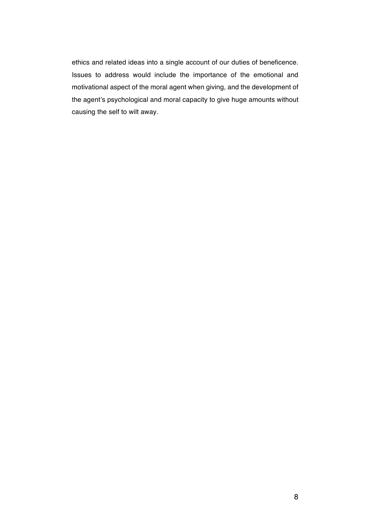ethics and related ideas into a single account of our duties of beneficence. Issues to address would include the importance of the emotional and motivational aspect of the moral agent when giving, and the development of the agent's psychological and moral capacity to give huge amounts without causing the self to wilt away.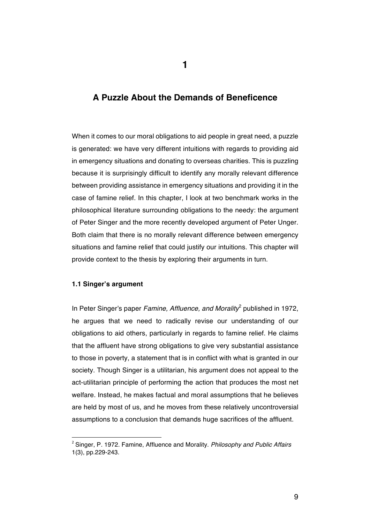## **A Puzzle About the Demands of Beneficence**

When it comes to our moral obligations to aid people in great need, a puzzle is generated: we have very different intuitions with regards to providing aid in emergency situations and donating to overseas charities. This is puzzling because it is surprisingly difficult to identify any morally relevant difference between providing assistance in emergency situations and providing it in the case of famine relief. In this chapter, I look at two benchmark works in the philosophical literature surrounding obligations to the needy: the argument of Peter Singer and the more recently developed argument of Peter Unger. Both claim that there is no morally relevant difference between emergency situations and famine relief that could justify our intuitions. This chapter will provide context to the thesis by exploring their arguments in turn.

#### **1.1 Singer's argument**

In Peter Singer's paper *Famine, Affluence, and Morality*<sup>2</sup> published in 1972, he argues that we need to radically revise our understanding of our obligations to aid others, particularly in regards to famine relief. He claims that the affluent have strong obligations to give very substantial assistance to those in poverty, a statement that is in conflict with what is granted in our society. Though Singer is a utilitarian, his argument does not appeal to the act-utilitarian principle of performing the action that produces the most net welfare. Instead, he makes factual and moral assumptions that he believes are held by most of us, and he moves from these relatively uncontroversial assumptions to a conclusion that demands huge sacrifices of the affluent.

 <sup>2</sup> Singer, P. 1972. Famine, Affluence and Morality. *Philosophy and Public Affairs*  1(3), pp.229-243.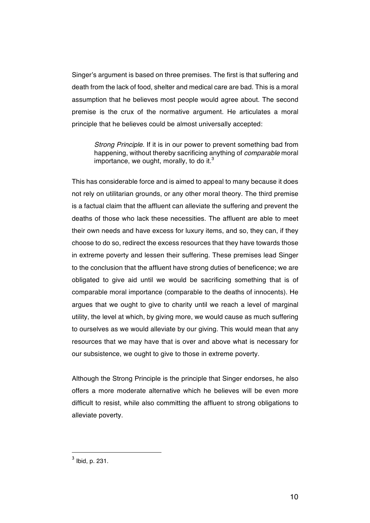Singer's argument is based on three premises. The first is that suffering and death from the lack of food, shelter and medical care are bad. This is a moral assumption that he believes most people would agree about. The second premise is the crux of the normative argument. He articulates a moral principle that he believes could be almost universally accepted:

*Strong Principle*. If it is in our power to prevent something bad from happening, without thereby sacrificing anything of *comparable* moral importance, we ought, morally, to do it.<sup>3</sup>

This has considerable force and is aimed to appeal to many because it does not rely on utilitarian grounds, or any other moral theory. The third premise is a factual claim that the affluent can alleviate the suffering and prevent the deaths of those who lack these necessities. The affluent are able to meet their own needs and have excess for luxury items, and so, they can, if they choose to do so, redirect the excess resources that they have towards those in extreme poverty and lessen their suffering. These premises lead Singer to the conclusion that the affluent have strong duties of beneficence; we are obligated to give aid until we would be sacrificing something that is of comparable moral importance (comparable to the deaths of innocents). He argues that we ought to give to charity until we reach a level of marginal utility, the level at which, by giving more, we would cause as much suffering to ourselves as we would alleviate by our giving. This would mean that any resources that we may have that is over and above what is necessary for our subsistence, we ought to give to those in extreme poverty.

Although the Strong Principle is the principle that Singer endorses, he also offers a more moderate alternative which he believes will be even more difficult to resist, while also committing the affluent to strong obligations to alleviate poverty.

 $<sup>3</sup>$  Ibid, p. 231.</sup>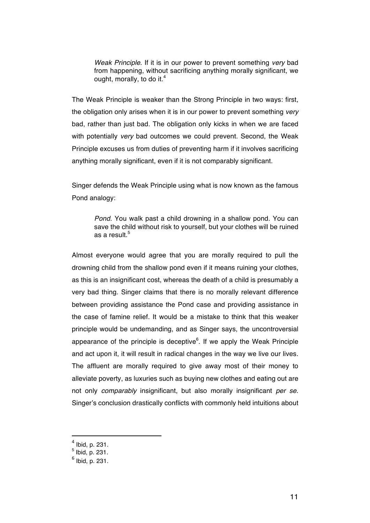*Weak Principle*. If it is in our power to prevent something *very* bad from happening, without sacrificing anything morally significant, we ought, morally, to do it.<sup>4</sup>

The Weak Principle is weaker than the Strong Principle in two ways: first, the obligation only arises when it is in our power to prevent something *very*  bad, rather than just bad. The obligation only kicks in when we are faced with potentially *very* bad outcomes we could prevent. Second, the Weak Principle excuses us from duties of preventing harm if it involves sacrificing anything morally significant, even if it is not comparably significant.

Singer defends the Weak Principle using what is now known as the famous Pond analogy:

*Pond*. You walk past a child drowning in a shallow pond. You can save the child without risk to yourself, but your clothes will be ruined as a result.<sup>5</sup>

Almost everyone would agree that you are morally required to pull the drowning child from the shallow pond even if it means ruining your clothes, as this is an insignificant cost, whereas the death of a child is presumably a very bad thing. Singer claims that there is no morally relevant difference between providing assistance the Pond case and providing assistance in the case of famine relief. It would be a mistake to think that this weaker principle would be undemanding, and as Singer says, the uncontroversial appearance of the principle is deceptive<sup>6</sup>. If we apply the Weak Principle and act upon it, it will result in radical changes in the way we live our lives. The affluent are morally required to give away most of their money to alleviate poverty, as luxuries such as buying new clothes and eating out are not only *comparably* insignificant, but also morally insignificant *per se*. Singer's conclusion drastically conflicts with commonly held intuitions about

 $^{4}$  Ibid, p. 231.<br> $^{5}$  Ibid, p. 231.

 $<sup>6</sup>$  Ibid, p. 231.</sup>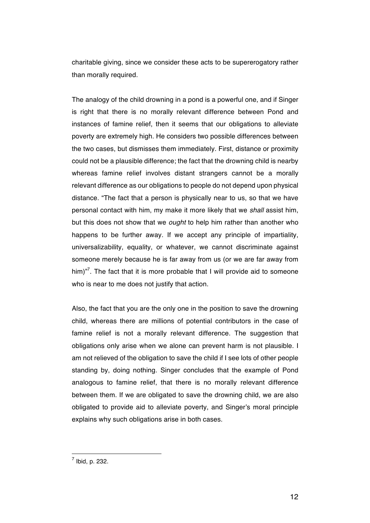charitable giving, since we consider these acts to be supererogatory rather than morally required.

The analogy of the child drowning in a pond is a powerful one, and if Singer is right that there is no morally relevant difference between Pond and instances of famine relief, then it seems that our obligations to alleviate poverty are extremely high. He considers two possible differences between the two cases, but dismisses them immediately. First, distance or proximity could not be a plausible difference; the fact that the drowning child is nearby whereas famine relief involves distant strangers cannot be a morally relevant difference as our obligations to people do not depend upon physical distance. "The fact that a person is physically near to us, so that we have personal contact with him, my make it more likely that we *shall* assist him, but this does not show that we *ought* to help him rather than another who happens to be further away. If we accept any principle of impartiality, universalizability, equality, or whatever, we cannot discriminate against someone merely because he is far away from us (or we are far away from him) $n^7$ . The fact that it is more probable that I will provide aid to someone who is near to me does not justify that action.

Also, the fact that you are the only one in the position to save the drowning child, whereas there are millions of potential contributors in the case of famine relief is not a morally relevant difference. The suggestion that obligations only arise when we alone can prevent harm is not plausible. I am not relieved of the obligation to save the child if I see lots of other people standing by, doing nothing. Singer concludes that the example of Pond analogous to famine relief, that there is no morally relevant difference between them. If we are obligated to save the drowning child, we are also obligated to provide aid to alleviate poverty, and Singer's moral principle explains why such obligations arise in both cases.

 $<sup>7</sup>$  Ibid, p. 232.</sup>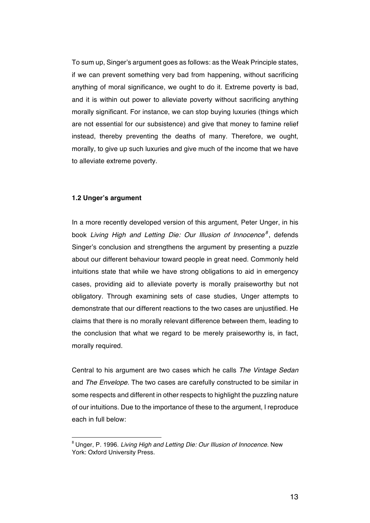To sum up, Singer's argument goes as follows: as the Weak Principle states, if we can prevent something very bad from happening, without sacrificing anything of moral significance, we ought to do it. Extreme poverty is bad, and it is within out power to alleviate poverty without sacrificing anything morally significant. For instance, we can stop buying luxuries (things which are not essential for our subsistence) and give that money to famine relief instead, thereby preventing the deaths of many. Therefore, we ought, morally, to give up such luxuries and give much of the income that we have to alleviate extreme poverty.

#### **1.2 Unger's argument**

In a more recently developed version of this argument, Peter Unger, in his book *Living High and Letting Die: Our Illusion of Innocence<sup>8</sup>* , defends Singer's conclusion and strengthens the argument by presenting a puzzle about our different behaviour toward people in great need. Commonly held intuitions state that while we have strong obligations to aid in emergency cases, providing aid to alleviate poverty is morally praiseworthy but not obligatory. Through examining sets of case studies, Unger attempts to demonstrate that our different reactions to the two cases are unjustified. He claims that there is no morally relevant difference between them, leading to the conclusion that what we regard to be merely praiseworthy is, in fact, morally required.

Central to his argument are two cases which he calls *The Vintage Sedan* and *The Envelope.* The two cases are carefully constructed to be similar in some respects and different in other respects to highlight the puzzling nature of our intuitions. Due to the importance of these to the argument, I reproduce each in full below:

 <sup>8</sup> Unger, P. 1996. *Living High and Letting Die: Our Illusion of Innocence.* New York: Oxford University Press.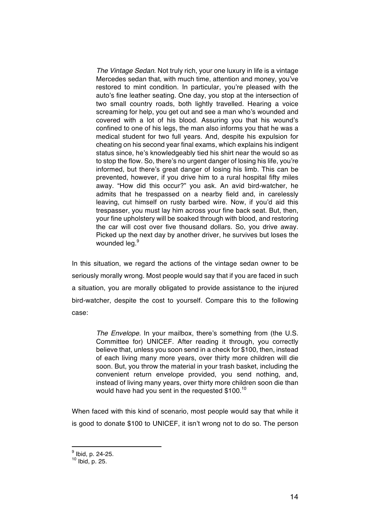*The Vintage Sedan*. Not truly rich, your one luxury in life is a vintage Mercedes sedan that, with much time, attention and money, you've restored to mint condition. In particular, you're pleased with the auto's fine leather seating. One day, you stop at the intersection of two small country roads, both lightly travelled. Hearing a voice screaming for help, you get out and see a man who's wounded and covered with a lot of his blood. Assuring you that his wound's confined to one of his legs, the man also informs you that he was a medical student for two full years. And, despite his expulsion for cheating on his second year final exams, which explains his indigent status since, he's knowledgeably tied his shirt near the would so as to stop the flow. So, there's no urgent danger of losing his life, you're informed, but there's great danger of losing his limb. This can be prevented, however, if you drive him to a rural hospital fifty miles away. "How did this occur?" you ask. An avid bird-watcher, he admits that he trespassed on a nearby field and, in carelessly leaving, cut himself on rusty barbed wire. Now, if you'd aid this trespasser, you must lay him across your fine back seat. But, then, your fine upholstery will be soaked through with blood, and restoring the car will cost over five thousand dollars. So, you drive away. Picked up the next day by another driver, he survives but loses the wounded leg.<sup>9</sup>

In this situation, we regard the actions of the vintage sedan owner to be seriously morally wrong. Most people would say that if you are faced in such a situation, you are morally obligated to provide assistance to the injured bird-watcher, despite the cost to yourself. Compare this to the following case:

> *The Envelope*. In your mailbox, there's something from (the U.S. Committee for) UNICEF. After reading it through, you correctly believe that, unless you soon send in a check for \$100, then, instead of each living many more years, over thirty more children will die soon. But, you throw the material in your trash basket, including the convenient return envelope provided, you send nothing, and, instead of living many years, over thirty more children soon die than would have had you sent in the requested  $$100.<sup>10</sup>$

When faced with this kind of scenario, most people would say that while it is good to donate \$100 to UNICEF, it isn't wrong not to do so. The person

<sup>&</sup>lt;sup>9</sup> Ibid, p. 24-25.

 $10$  Ibid, p. 25.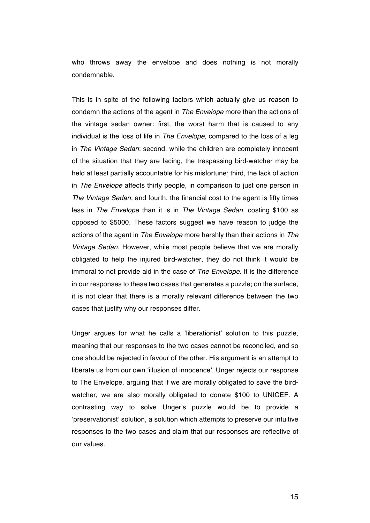who throws away the envelope and does nothing is not morally condemnable.

This is in spite of the following factors which actually give us reason to condemn the actions of the agent in *The Envelope* more than the actions of the vintage sedan owner: first, the worst harm that is caused to any individual is the loss of life in *The Envelope*, compared to the loss of a leg in *The Vintage Sedan*; second, while the children are completely innocent of the situation that they are facing, the trespassing bird-watcher may be held at least partially accountable for his misfortune; third, the lack of action in *The Envelope* affects thirty people, in comparison to just one person in *The Vintage Sedan*; and fourth, the financial cost to the agent is fifty times less in *The Envelope* than it is in *The Vintage Sedan*, costing \$100 as opposed to \$5000. These factors suggest we have reason to judge the actions of the agent in *The Envelope* more harshly than their actions in *The Vintage Sedan*. However, while most people believe that we are morally obligated to help the injured bird-watcher, they do not think it would be immoral to not provide aid in the case of *The Envelope*. It is the difference in our responses to these two cases that generates a puzzle; on the surface, it is not clear that there is a morally relevant difference between the two cases that justify why our responses differ.

Unger argues for what he calls a 'liberationist' solution to this puzzle, meaning that our responses to the two cases cannot be reconciled, and so one should be rejected in favour of the other. His argument is an attempt to liberate us from our own 'illusion of innocence'. Unger rejects our response to The Envelope, arguing that if we are morally obligated to save the birdwatcher, we are also morally obligated to donate \$100 to UNICEF. A contrasting way to solve Unger's puzzle would be to provide a 'preservationist' solution, a solution which attempts to preserve our intuitive responses to the two cases and claim that our responses are reflective of our values.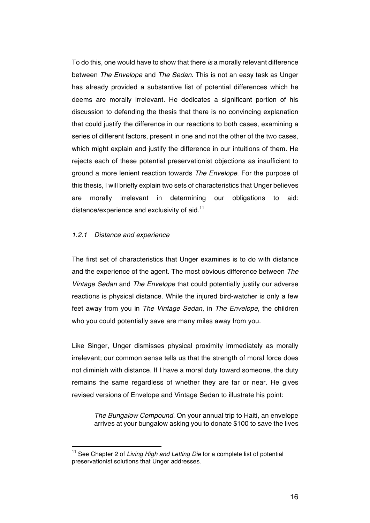To do this, one would have to show that there *is* a morally relevant difference between *The Envelope* and *The Sedan*. This is not an easy task as Unger has already provided a substantive list of potential differences which he deems are morally irrelevant. He dedicates a significant portion of his discussion to defending the thesis that there is no convincing explanation that could justify the difference in our reactions to both cases, examining a series of different factors, present in one and not the other of the two cases, which might explain and justify the difference in our intuitions of them. He rejects each of these potential preservationist objections as insufficient to ground a more lenient reaction towards *The Envelope*. For the purpose of this thesis, I will briefly explain two sets of characteristics that Unger believes are morally irrelevant in determining our obligations to aid: distance/experience and exclusivity of aid.<sup>11</sup>

#### *1.2.1 Distance and experience*

 

The first set of characteristics that Unger examines is to do with distance and the experience of the agent. The most obvious difference between *The Vintage Sedan* and *The Envelope* that could potentially justify our adverse reactions is physical distance. While the injured bird-watcher is only a few feet away from you in *The Vintage Sedan*, in *The Envelope*, the children who you could potentially save are many miles away from you.

Like Singer, Unger dismisses physical proximity immediately as morally irrelevant; our common sense tells us that the strength of moral force does not diminish with distance. If I have a moral duty toward someone, the duty remains the same regardless of whether they are far or near. He gives revised versions of Envelope and Vintage Sedan to illustrate his point:

*The Bungalow Compound.* On your annual trip to Haiti, an envelope arrives at your bungalow asking you to donate \$100 to save the lives

<sup>&</sup>lt;sup>11</sup> See Chapter 2 of *Living High and Letting Die* for a complete list of potential preservationist solutions that Unger addresses.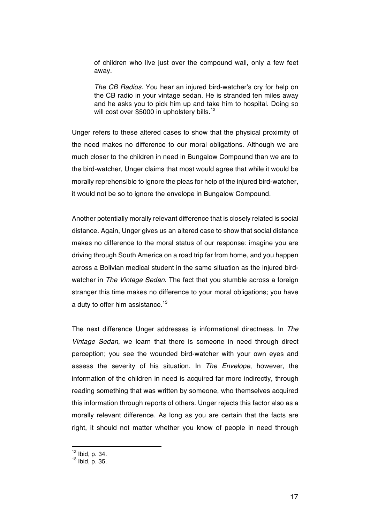of children who live just over the compound wall, only a few feet away.

*The CB Radios.* You hear an injured bird-watcher's cry for help on the CB radio in your vintage sedan. He is stranded ten miles away and he asks you to pick him up and take him to hospital. Doing so will cost over \$5000 in upholstery bills.<sup>12</sup>

Unger refers to these altered cases to show that the physical proximity of the need makes no difference to our moral obligations. Although we are much closer to the children in need in Bungalow Compound than we are to the bird-watcher, Unger claims that most would agree that while it would be morally reprehensible to ignore the pleas for help of the injured bird-watcher, it would not be so to ignore the envelope in Bungalow Compound.

Another potentially morally relevant difference that is closely related is social distance. Again, Unger gives us an altered case to show that social distance makes no difference to the moral status of our response: imagine you are driving through South America on a road trip far from home, and you happen across a Bolivian medical student in the same situation as the injured birdwatcher in *The Vintage Sedan*. The fact that you stumble across a foreign stranger this time makes no difference to your moral obligations; you have a duty to offer him assistance.<sup>13</sup>

The next difference Unger addresses is informational directness. In *The Vintage Sedan*, we learn that there is someone in need through direct perception; you see the wounded bird-watcher with your own eyes and assess the severity of his situation. In *The Envelope*, however, the information of the children in need is acquired far more indirectly, through reading something that was written by someone, who themselves acquired this information through reports of others. Unger rejects this factor also as a morally relevant difference. As long as you are certain that the facts are right, it should not matter whether you know of people in need through

<sup>12</sup> Ibid, p. 34.

<sup>13</sup> Ibid, p. 35.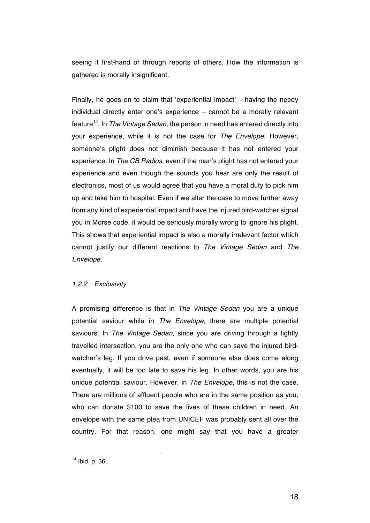seeing it first-hand or through reports of others. How the information is gathered is morally insignificant.

Finally, he goes on to claim that 'experiential impact' – having the needy individual directly enter one's experience – cannot be a morally relevant feature14. In *The Vintage Sedan*, the person in need has entered directly into your experience, while it is not the case for *The Envelope*. However, someone's plight does not diminish because it has not entered your experience. In *The CB Radios*, even if the man's plight has not entered your experience and even though the sounds you hear are only the result of electronics, most of us would agree that you have a moral duty to pick him up and take him to hospital. Even if we alter the case to move further away from any kind of experiential impact and have the injured bird-watcher signal you in Morse code, it would be seriously morally wrong to ignore his plight. This shows that experiential impact is also a morally irrelevant factor which cannot justify our different reactions to *The Vintage Sedan* and *The Envelope*.

#### *1.2.2 Exclusivity*

A promising difference is that in *The Vintage Sedan* you are a unique potential saviour while in *The Envelope*, there are multiple potential saviours. In *The Vintage Sedan,* since you are driving through a lightly travelled intersection, you are the only one who can save the injured birdwatcher's leg. If you drive past, even if someone else does come along eventually, it will be too late to save his leg. In other words, you are his unique potential saviour. However, in *The Envelope*, this is not the case. There are millions of affluent people who are in the same position as you, who can donate \$100 to save the lives of these children in need. An envelope with the same plea from UNICEF was probably sent all over the country. For that reason, one might say that you have a greater

<sup>14</sup> Ibid, p. 36.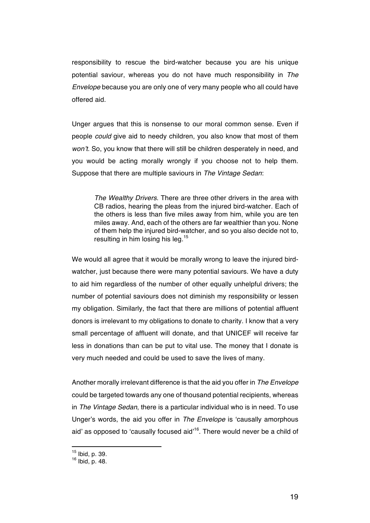responsibility to rescue the bird-watcher because you are his unique potential saviour, whereas you do not have much responsibility in *The Envelope* because you are only one of very many people who all could have offered aid.

Unger argues that this is nonsense to our moral common sense. Even if people *could* give aid to needy children, you also know that most of them *won't*. So, you know that there will still be children desperately in need, and you would be acting morally wrongly if you choose not to help them. Suppose that there are multiple saviours in *The Vintage Sedan*:

*The Wealthy Drivers*. There are three other drivers in the area with CB radios, hearing the pleas from the injured bird-watcher. Each of the others is less than five miles away from him, while you are ten miles away. And, each of the others are far wealthier than you. None of them help the injured bird-watcher, and so you also decide not to, resulting in him losing his leg.<sup>15</sup>

We would all agree that it would be morally wrong to leave the injured birdwatcher, just because there were many potential saviours. We have a duty to aid him regardless of the number of other equally unhelpful drivers; the number of potential saviours does not diminish my responsibility or lessen my obligation. Similarly, the fact that there are millions of potential affluent donors is irrelevant to my obligations to donate to charity. I know that a very small percentage of affluent will donate, and that UNICEF will receive far less in donations than can be put to vital use. The money that I donate is very much needed and could be used to save the lives of many.

Another morally irrelevant difference is that the aid you offer in *The Envelope*  could be targeted towards any one of thousand potential recipients, whereas in *The Vintage Sedan*, there is a particular individual who is in need. To use Unger's words, the aid you offer in *The Envelope* is 'causally amorphous aid' as opposed to 'causally focused aid'<sup>16</sup>. There would never be a child of

<sup>15</sup> Ibid, p. 39.

<sup>16</sup> Ibid, p. 48.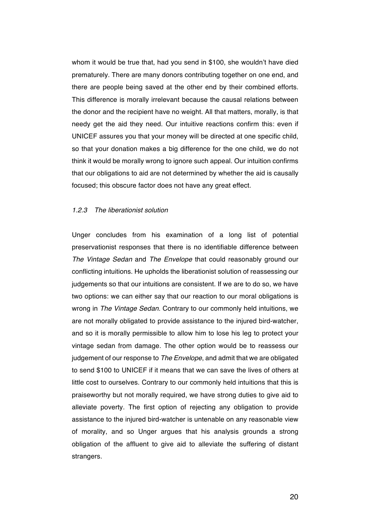whom it would be true that, had you send in \$100, she wouldn't have died prematurely. There are many donors contributing together on one end, and there are people being saved at the other end by their combined efforts. This difference is morally irrelevant because the causal relations between the donor and the recipient have no weight. All that matters, morally, is that needy get the aid they need. Our intuitive reactions confirm this: even if UNICEF assures you that your money will be directed at one specific child, so that your donation makes a big difference for the one child, we do not think it would be morally wrong to ignore such appeal. Our intuition confirms that our obligations to aid are not determined by whether the aid is causally focused; this obscure factor does not have any great effect.

#### *1.2.3 The liberationist solution*

Unger concludes from his examination of a long list of potential preservationist responses that there is no identifiable difference between *The Vintage Sedan* and *The Envelope* that could reasonably ground our conflicting intuitions. He upholds the liberationist solution of reassessing our judgements so that our intuitions are consistent. If we are to do so, we have two options: we can either say that our reaction to our moral obligations is wrong in *The Vintage Sedan*. Contrary to our commonly held intuitions, we are not morally obligated to provide assistance to the injured bird-watcher, and so it is morally permissible to allow him to lose his leg to protect your vintage sedan from damage. The other option would be to reassess our judgement of our response to *The Envelope*, and admit that we are obligated to send \$100 to UNICEF if it means that we can save the lives of others at little cost to ourselves. Contrary to our commonly held intuitions that this is praiseworthy but not morally required, we have strong duties to give aid to alleviate poverty. The first option of rejecting any obligation to provide assistance to the injured bird-watcher is untenable on any reasonable view of morality, and so Unger argues that his analysis grounds a strong obligation of the affluent to give aid to alleviate the suffering of distant strangers.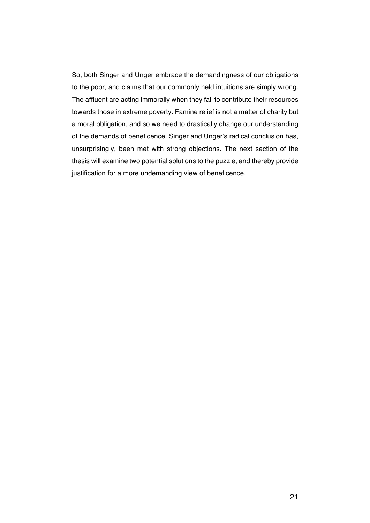So, both Singer and Unger embrace the demandingness of our obligations to the poor, and claims that our commonly held intuitions are simply wrong. The affluent are acting immorally when they fail to contribute their resources towards those in extreme poverty. Famine relief is not a matter of charity but a moral obligation, and so we need to drastically change our understanding of the demands of beneficence. Singer and Unger's radical conclusion has, unsurprisingly, been met with strong objections. The next section of the thesis will examine two potential solutions to the puzzle, and thereby provide justification for a more undemanding view of beneficence.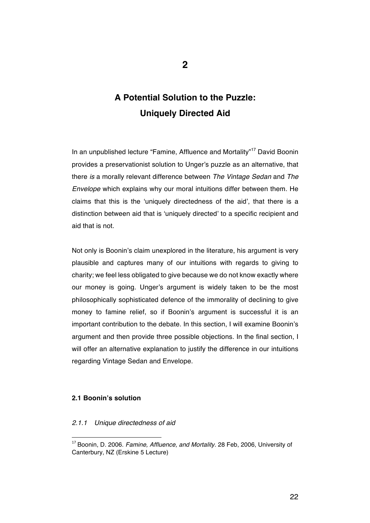# **A Potential Solution to the Puzzle: Uniquely Directed Aid**

In an unpublished lecture "Famine, Affluence and Mortality"<sup>17</sup> David Boonin provides a preservationist solution to Unger's puzzle as an alternative, that there *is* a morally relevant difference between *The Vintage Sedan* and *The Envelope* which explains why our moral intuitions differ between them. He claims that this is the 'uniquely directedness of the aid', that there is a distinction between aid that is 'uniquely directed' to a specific recipient and aid that is not.

Not only is Boonin's claim unexplored in the literature, his argument is very plausible and captures many of our intuitions with regards to giving to charity; we feel less obligated to give because we do not know exactly where our money is going. Unger's argument is widely taken to be the most philosophically sophisticated defence of the immorality of declining to give money to famine relief, so if Boonin's argument is successful it is an important contribution to the debate. In this section, I will examine Boonin's argument and then provide three possible objections. In the final section, I will offer an alternative explanation to justify the difference in our intuitions regarding Vintage Sedan and Envelope.

#### **2.1 Boonin's solution**

#### *2.1.1 Unique directedness of aid*

 <sup>17</sup> Boonin, D. 2006. *Famine, Affluence, and Mortality*. 28 Feb, 2006, University of Canterbury, NZ (Erskine 5 Lecture)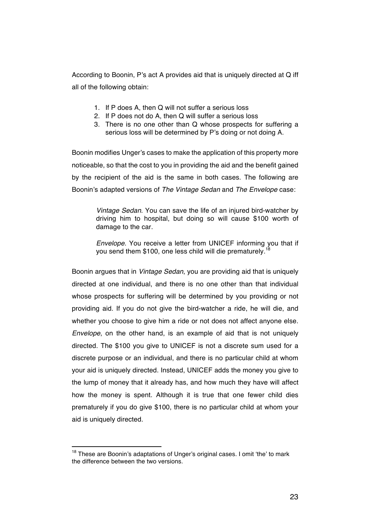According to Boonin, P's act A provides aid that is uniquely directed at Q iff all of the following obtain:

- 1. If P does A, then Q will not suffer a serious loss
- 2. If P does not do A, then Q will suffer a serious loss
- 3. There is no one other than Q whose prospects for suffering a serious loss will be determined by P's doing or not doing A.

Boonin modifies Unger's cases to make the application of this property more noticeable, so that the cost to you in providing the aid and the benefit gained by the recipient of the aid is the same in both cases. The following are Boonin's adapted versions of *The Vintage Sedan* and *The Envelope* case:

> *Vintage Sedan*. You can save the life of an injured bird-watcher by driving him to hospital, but doing so will cause \$100 worth of damage to the car.

> *Envelope*. You receive a letter from UNICEF informing you that if you send them \$100, one less child will die prematurely.<sup>18</sup>

Boonin argues that in *Vintage Sedan*, you are providing aid that is uniquely directed at one individual, and there is no one other than that individual whose prospects for suffering will be determined by you providing or not providing aid. If you do not give the bird-watcher a ride, he will die, and whether you choose to give him a ride or not does not affect anyone else. *Envelope*, on the other hand, is an example of aid that is not uniquely directed. The \$100 you give to UNICEF is not a discrete sum used for a discrete purpose or an individual, and there is no particular child at whom your aid is uniquely directed. Instead, UNICEF adds the money you give to the lump of money that it already has, and how much they have will affect how the money is spent. Although it is true that one fewer child dies prematurely if you do give \$100, there is no particular child at whom your aid is uniquely directed.

<sup>&</sup>lt;sup>18</sup> These are Boonin's adaptations of Unger's original cases. I omit 'the' to mark the difference between the two versions.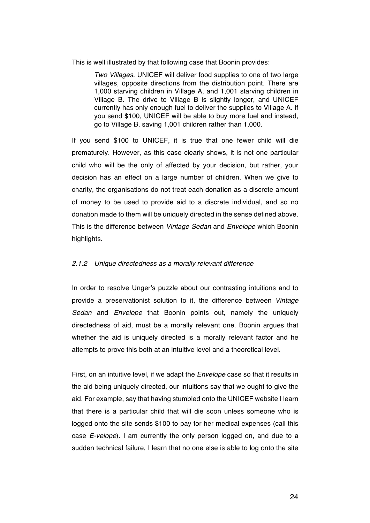This is well illustrated by that following case that Boonin provides:

*Two Villages*. UNICEF will deliver food supplies to one of two large villages, opposite directions from the distribution point. There are 1,000 starving children in Village A, and 1,001 starving children in Village B. The drive to Village B is slightly longer, and UNICEF currently has only enough fuel to deliver the supplies to Village A. If you send \$100, UNICEF will be able to buy more fuel and instead, go to Village B, saving 1,001 children rather than 1,000.

If you send \$100 to UNICEF, it is true that one fewer child will die prematurely. However, as this case clearly shows, it is not one particular child who will be the only of affected by your decision, but rather, your decision has an effect on a large number of children. When we give to charity, the organisations do not treat each donation as a discrete amount of money to be used to provide aid to a discrete individual, and so no donation made to them will be uniquely directed in the sense defined above. This is the difference between *Vintage Sedan* and *Envelope* which Boonin highlights.

#### *2.1.2 Unique directedness as a morally relevant difference*

In order to resolve Unger's puzzle about our contrasting intuitions and to provide a preservationist solution to it, the difference between *Vintage Sedan* and *Envelope* that Boonin points out, namely the uniquely directedness of aid, must be a morally relevant one. Boonin argues that whether the aid is uniquely directed is a morally relevant factor and he attempts to prove this both at an intuitive level and a theoretical level.

First, on an intuitive level, if we adapt the *Envelope* case so that it results in the aid being uniquely directed, our intuitions say that we ought to give the aid. For example, say that having stumbled onto the UNICEF website I learn that there is a particular child that will die soon unless someone who is logged onto the site sends \$100 to pay for her medical expenses (call this case *E-velope*). I am currently the only person logged on, and due to a sudden technical failure, I learn that no one else is able to log onto the site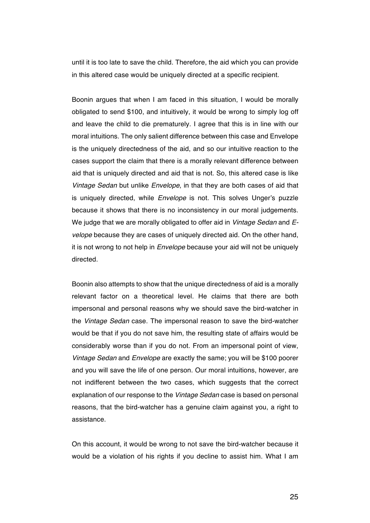until it is too late to save the child. Therefore, the aid which you can provide in this altered case would be uniquely directed at a specific recipient.

Boonin argues that when I am faced in this situation, I would be morally obligated to send \$100, and intuitively, it would be wrong to simply log off and leave the child to die prematurely. I agree that this is in line with our moral intuitions. The only salient difference between this case and Envelope is the uniquely directedness of the aid, and so our intuitive reaction to the cases support the claim that there is a morally relevant difference between aid that is uniquely directed and aid that is not. So, this altered case is like *Vintage Sedan* but unlike *Envelope*, in that they are both cases of aid that is uniquely directed, while *Envelope* is not. This solves Unger's puzzle because it shows that there is no inconsistency in our moral judgements. We judge that we are morally obligated to offer aid in *Vintage Sedan* and *Evelope* because they are cases of uniquely directed aid. On the other hand, it is not wrong to not help in *Envelope* because your aid will not be uniquely directed.

Boonin also attempts to show that the unique directedness of aid is a morally relevant factor on a theoretical level. He claims that there are both impersonal and personal reasons why we should save the bird-watcher in the *Vintage Sedan* case. The impersonal reason to save the bird-watcher would be that if you do not save him, the resulting state of affairs would be considerably worse than if you do not. From an impersonal point of view, *Vintage Sedan* and *Envelope* are exactly the same; you will be \$100 poorer and you will save the life of one person. Our moral intuitions, however, are not indifferent between the two cases, which suggests that the correct explanation of our response to the *Vintage Sedan* case is based on personal reasons, that the bird-watcher has a genuine claim against you, a right to assistance.

On this account, it would be wrong to not save the bird-watcher because it would be a violation of his rights if you decline to assist him. What I am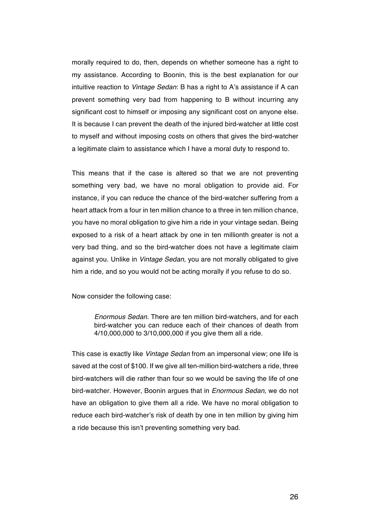morally required to do, then, depends on whether someone has a right to my assistance. According to Boonin, this is the best explanation for our intuitive reaction to *Vintage Sedan*: B has a right to A's assistance if A can prevent something very bad from happening to B without incurring any significant cost to himself or imposing any significant cost on anyone else. It is because I can prevent the death of the injured bird-watcher at little cost to myself and without imposing costs on others that gives the bird-watcher a legitimate claim to assistance which I have a moral duty to respond to.

This means that if the case is altered so that we are not preventing something very bad, we have no moral obligation to provide aid. For instance, if you can reduce the chance of the bird-watcher suffering from a heart attack from a four in ten million chance to a three in ten million chance, you have no moral obligation to give him a ride in your vintage sedan. Being exposed to a risk of a heart attack by one in ten millionth greater is not a very bad thing, and so the bird-watcher does not have a legitimate claim against you. Unlike in *Vintage Sedan*, you are not morally obligated to give him a ride, and so you would not be acting morally if you refuse to do so.

Now consider the following case:

*Enormous Sedan*. There are ten million bird-watchers, and for each bird-watcher you can reduce each of their chances of death from 4/10,000,000 to 3/10,000,000 if you give them all a ride.

This case is exactly like *Vintage Sedan* from an impersonal view; one life is saved at the cost of \$100. If we give all ten-million bird-watchers a ride, three bird-watchers will die rather than four so we would be saving the life of one bird-watcher. However, Boonin argues that in *Enormous Sedan*, we do not have an obligation to give them all a ride. We have no moral obligation to reduce each bird-watcher's risk of death by one in ten million by giving him a ride because this isn't preventing something very bad.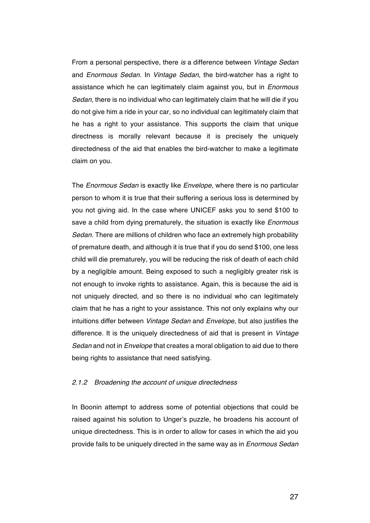From a personal perspective, there *is* a difference between *Vintage Sedan*  and *Enormous Sedan.* In *Vintage Sedan*, the bird-watcher has a right to assistance which he can legitimately claim against you, but in *Enormous Sedan*, there is no individual who can legitimately claim that he will die if you do not give him a ride in your car, so no individual can legitimately claim that he has a right to your assistance. This supports the claim that unique directness is morally relevant because it is precisely the uniquely directedness of the aid that enables the bird-watcher to make a legitimate claim on you.

The *Enormous Sedan* is exactly like *Envelope*, where there is no particular person to whom it is true that their suffering a serious loss is determined by you not giving aid. In the case where UNICEF asks you to send \$100 to save a child from dying prematurely, the situation is exactly like *Enormous Sedan.* There are millions of children who face an extremely high probability of premature death, and although it is true that if you do send \$100, one less child will die prematurely, you will be reducing the risk of death of each child by a negligible amount. Being exposed to such a negligibly greater risk is not enough to invoke rights to assistance. Again, this is because the aid is not uniquely directed, and so there is no individual who can legitimately claim that he has a right to your assistance. This not only explains why our intuitions differ between *Vintage Sedan* and *Envelope*, but also justifies the difference. It is the uniquely directedness of aid that is present in *Vintage Sedan* and not in *Envelope* that creates a moral obligation to aid due to there being rights to assistance that need satisfying.

#### *2.1.2 Broadening the account of unique directedness*

In Boonin attempt to address some of potential objections that could be raised against his solution to Unger's puzzle, he broadens his account of unique directedness. This is in order to allow for cases in which the aid you provide fails to be uniquely directed in the same way as in *Enormous Sedan*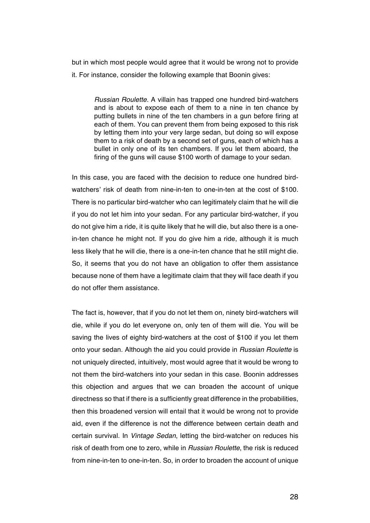but in which most people would agree that it would be wrong not to provide it. For instance, consider the following example that Boonin gives:

*Russian Roulette.* A villain has trapped one hundred bird-watchers and is about to expose each of them to a nine in ten chance by putting bullets in nine of the ten chambers in a gun before firing at each of them. You can prevent them from being exposed to this risk by letting them into your very large sedan, but doing so will expose them to a risk of death by a second set of guns, each of which has a bullet in only one of its ten chambers. If you let them aboard, the firing of the guns will cause \$100 worth of damage to your sedan.

In this case, you are faced with the decision to reduce one hundred birdwatchers' risk of death from nine-in-ten to one-in-ten at the cost of \$100. There is no particular bird-watcher who can legitimately claim that he will die if you do not let him into your sedan. For any particular bird-watcher, if you do not give him a ride, it is quite likely that he will die, but also there is a onein-ten chance he might not. If you do give him a ride, although it is much less likely that he will die, there is a one-in-ten chance that he still might die. So, it seems that you do not have an obligation to offer them assistance because none of them have a legitimate claim that they will face death if you do not offer them assistance.

The fact is, however, that if you do not let them on, ninety bird-watchers will die, while if you do let everyone on, only ten of them will die. You will be saving the lives of eighty bird-watchers at the cost of \$100 if you let them onto your sedan. Although the aid you could provide in *Russian Roulette* is not uniquely directed, intuitively, most would agree that it would be wrong to not them the bird-watchers into your sedan in this case. Boonin addresses this objection and argues that we can broaden the account of unique directness so that if there is a sufficiently great difference in the probabilities, then this broadened version will entail that it would be wrong not to provide aid, even if the difference is not the difference between certain death and certain survival. In *Vintage Sedan*, letting the bird-watcher on reduces his risk of death from one to zero, while in *Russian Roulette*, the risk is reduced from nine-in-ten to one-in-ten. So, in order to broaden the account of unique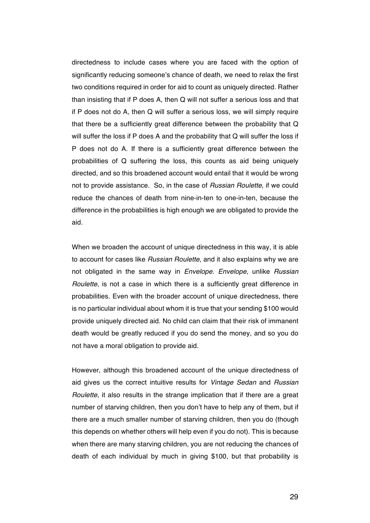directedness to include cases where you are faced with the option of significantly reducing someone's chance of death, we need to relax the first two conditions required in order for aid to count as uniquely directed. Rather than insisting that if P does A, then Q will not suffer a serious loss and that if P does not do A, then Q will suffer a serious loss, we will simply require that there be a sufficiently great difference between the probability that Q will suffer the loss if P does A and the probability that Q will suffer the loss if P does not do A. If there is a sufficiently great difference between the probabilities of Q suffering the loss, this counts as aid being uniquely directed, and so this broadened account would entail that it would be wrong not to provide assistance. So, in the case of *Russian Roulette*, if we could reduce the chances of death from nine-in-ten to one-in-ten, because the difference in the probabilities is high enough we are obligated to provide the aid.

When we broaden the account of unique directedness in this way, it is able to account for cases like *Russian Roulette*, and it also explains why we are not obligated in the same way in *Envelope*. *Envelope*, unlike *Russian Roulette*, is not a case in which there is a sufficiently great difference in probabilities. Even with the broader account of unique directedness, there is no particular individual about whom it is true that your sending \$100 would provide uniquely directed aid. No child can claim that their risk of immanent death would be greatly reduced if you do send the money, and so you do not have a moral obligation to provide aid.

However, although this broadened account of the unique directedness of aid gives us the correct intuitive results for *Vintage Sedan* and *Russian Roulette*, it also results in the strange implication that if there are a great number of starving children, then you don't have to help any of them, but if there are a much smaller number of starving children, then you do (though this depends on whether others will help even if you do not). This is because when there are many starving children, you are not reducing the chances of death of each individual by much in giving \$100, but that probability is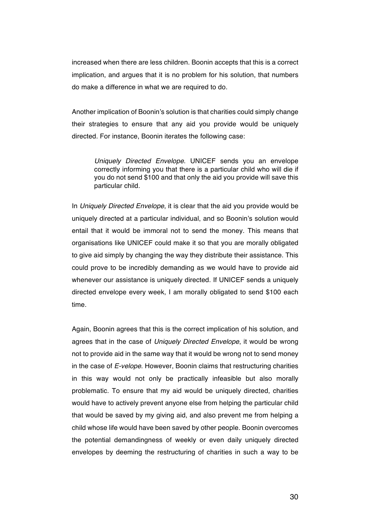increased when there are less children. Boonin accepts that this is a correct implication, and argues that it is no problem for his solution, that numbers do make a difference in what we are required to do.

Another implication of Boonin's solution is that charities could simply change their strategies to ensure that any aid you provide would be uniquely directed. For instance, Boonin iterates the following case:

*Uniquely Directed Envelope*. UNICEF sends you an envelope correctly informing you that there is a particular child who will die if you do not send \$100 and that only the aid you provide will save this particular child.

In *Uniquely Directed Envelope*, it is clear that the aid you provide would be uniquely directed at a particular individual, and so Boonin's solution would entail that it would be immoral not to send the money. This means that organisations like UNICEF could make it so that you are morally obligated to give aid simply by changing the way they distribute their assistance. This could prove to be incredibly demanding as we would have to provide aid whenever our assistance is uniquely directed. If UNICEF sends a uniquely directed envelope every week, I am morally obligated to send \$100 each time.

Again, Boonin agrees that this is the correct implication of his solution, and agrees that in the case of *Uniquely Directed Envelope*, it would be wrong not to provide aid in the same way that it would be wrong not to send money in the case of *E-velope*. However, Boonin claims that restructuring charities in this way would not only be practically infeasible but also morally problematic. To ensure that my aid would be uniquely directed, charities would have to actively prevent anyone else from helping the particular child that would be saved by my giving aid, and also prevent me from helping a child whose life would have been saved by other people. Boonin overcomes the potential demandingness of weekly or even daily uniquely directed envelopes by deeming the restructuring of charities in such a way to be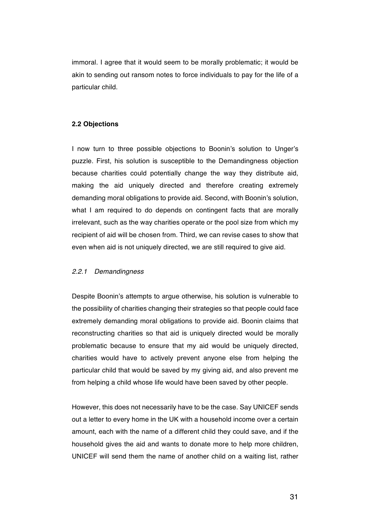immoral. I agree that it would seem to be morally problematic; it would be akin to sending out ransom notes to force individuals to pay for the life of a particular child.

#### **2.2 Objections**

I now turn to three possible objections to Boonin's solution to Unger's puzzle. First, his solution is susceptible to the Demandingness objection because charities could potentially change the way they distribute aid, making the aid uniquely directed and therefore creating extremely demanding moral obligations to provide aid. Second, with Boonin's solution, what I am required to do depends on contingent facts that are morally irrelevant, such as the way charities operate or the pool size from which my recipient of aid will be chosen from. Third, we can revise cases to show that even when aid is not uniquely directed, we are still required to give aid.

#### *2.2.1 Demandingness*

Despite Boonin's attempts to argue otherwise, his solution is vulnerable to the possibility of charities changing their strategies so that people could face extremely demanding moral obligations to provide aid. Boonin claims that reconstructing charities so that aid is uniquely directed would be morally problematic because to ensure that my aid would be uniquely directed, charities would have to actively prevent anyone else from helping the particular child that would be saved by my giving aid, and also prevent me from helping a child whose life would have been saved by other people.

However, this does not necessarily have to be the case. Say UNICEF sends out a letter to every home in the UK with a household income over a certain amount, each with the name of a different child they could save, and if the household gives the aid and wants to donate more to help more children, UNICEF will send them the name of another child on a waiting list, rather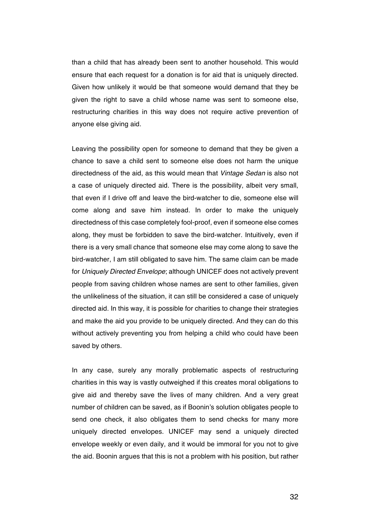than a child that has already been sent to another household. This would ensure that each request for a donation is for aid that is uniquely directed. Given how unlikely it would be that someone would demand that they be given the right to save a child whose name was sent to someone else, restructuring charities in this way does not require active prevention of anyone else giving aid.

Leaving the possibility open for someone to demand that they be given a chance to save a child sent to someone else does not harm the unique directedness of the aid, as this would mean that *Vintage Sedan* is also not a case of uniquely directed aid. There is the possibility, albeit very small, that even if I drive off and leave the bird-watcher to die, someone else will come along and save him instead. In order to make the uniquely directedness of this case completely fool-proof, even if someone else comes along, they must be forbidden to save the bird-watcher. Intuitively, even if there is a very small chance that someone else may come along to save the bird-watcher, I am still obligated to save him. The same claim can be made for *Uniquely Directed Envelope*; although UNICEF does not actively prevent people from saving children whose names are sent to other families, given the unlikeliness of the situation, it can still be considered a case of uniquely directed aid. In this way, it is possible for charities to change their strategies and make the aid you provide to be uniquely directed. And they can do this without actively preventing you from helping a child who could have been saved by others.

In any case, surely any morally problematic aspects of restructuring charities in this way is vastly outweighed if this creates moral obligations to give aid and thereby save the lives of many children. And a very great number of children can be saved, as if Boonin's solution obligates people to send one check, it also obligates them to send checks for many more uniquely directed envelopes. UNICEF may send a uniquely directed envelope weekly or even daily, and it would be immoral for you not to give the aid. Boonin argues that this is not a problem with his position, but rather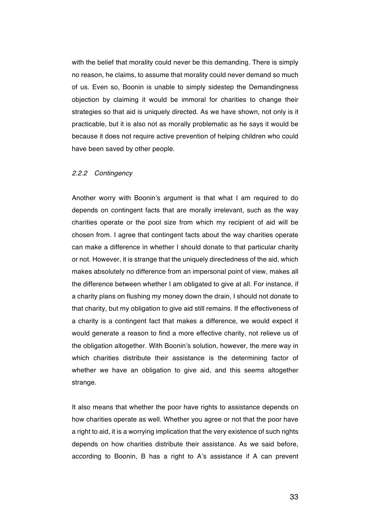with the belief that morality could never be this demanding. There is simply no reason, he claims, to assume that morality could never demand so much of us. Even so, Boonin is unable to simply sidestep the Demandingness objection by claiming it would be immoral for charities to change their strategies so that aid is uniquely directed. As we have shown, not only is it practicable, but it is also not as morally problematic as he says it would be because it does not require active prevention of helping children who could have been saved by other people.

#### *2.2.2 Contingency*

Another worry with Boonin's argument is that what I am required to do depends on contingent facts that are morally irrelevant, such as the way charities operate or the pool size from which my recipient of aid will be chosen from. I agree that contingent facts about the way charities operate can make a difference in whether I should donate to that particular charity or not. However, it is strange that the uniquely directedness of the aid, which makes absolutely no difference from an impersonal point of view, makes all the difference between whether I am obligated to give at all. For instance, if a charity plans on flushing my money down the drain, I should not donate to that charity, but my obligation to give aid still remains. If the effectiveness of a charity is a contingent fact that makes a difference, we would expect it would generate a reason to find a more effective charity, not relieve us of the obligation altogether. With Boonin's solution, however, the mere way in which charities distribute their assistance is the determining factor of whether we have an obligation to give aid, and this seems altogether strange.

It also means that whether the poor have rights to assistance depends on how charities operate as well. Whether you agree or not that the poor have a right to aid, it is a worrying implication that the very existence of such rights depends on how charities distribute their assistance. As we said before, according to Boonin, B has a right to A's assistance if A can prevent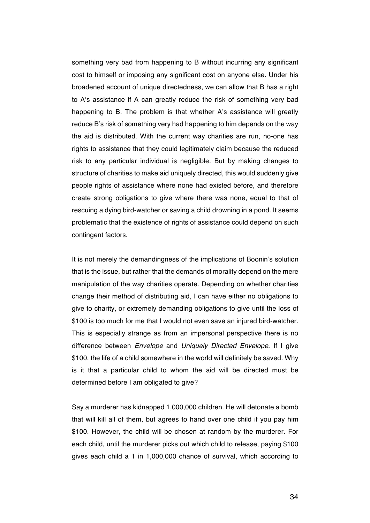something very bad from happening to B without incurring any significant cost to himself or imposing any significant cost on anyone else. Under his broadened account of unique directedness, we can allow that B has a right to A's assistance if A can greatly reduce the risk of something very bad happening to B. The problem is that whether A's assistance will greatly reduce B's risk of something very had happening to him depends on the way the aid is distributed. With the current way charities are run, no-one has rights to assistance that they could legitimately claim because the reduced risk to any particular individual is negligible. But by making changes to structure of charities to make aid uniquely directed, this would suddenly give people rights of assistance where none had existed before, and therefore create strong obligations to give where there was none, equal to that of rescuing a dying bird-watcher or saving a child drowning in a pond. It seems problematic that the existence of rights of assistance could depend on such contingent factors.

It is not merely the demandingness of the implications of Boonin's solution that is the issue, but rather that the demands of morality depend on the mere manipulation of the way charities operate. Depending on whether charities change their method of distributing aid, I can have either no obligations to give to charity, or extremely demanding obligations to give until the loss of \$100 is too much for me that I would not even save an injured bird-watcher. This is especially strange as from an impersonal perspective there is no difference between *Envelope* and *Uniquely Directed Envelope*. If I give \$100, the life of a child somewhere in the world will definitely be saved. Why is it that a particular child to whom the aid will be directed must be determined before I am obligated to give?

Say a murderer has kidnapped 1,000,000 children. He will detonate a bomb that will kill all of them, but agrees to hand over one child if you pay him \$100. However, the child will be chosen at random by the murderer. For each child, until the murderer picks out which child to release, paying \$100 gives each child a 1 in 1,000,000 chance of survival, which according to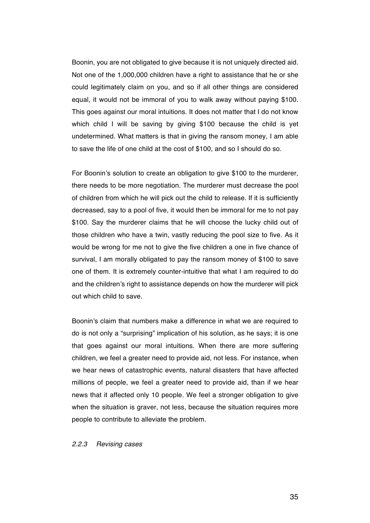Boonin, you are not obligated to give because it is not uniquely directed aid. Not one of the 1,000,000 children have a right to assistance that he or she could legitimately claim on you, and so if all other things are considered equal, it would not be immoral of you to walk away without paying \$100. This goes against our moral intuitions. It does not matter that I do not know which child I will be saving by giving \$100 because the child is yet undetermined. What matters is that in giving the ransom money, I am able to save the life of one child at the cost of \$100, and so I should do so.

For Boonin's solution to create an obligation to give \$100 to the murderer, there needs to be more negotiation. The murderer must decrease the pool of children from which he will pick out the child to release. If it is sufficiently decreased, say to a pool of five, it would then be immoral for me to not pay \$100. Say the murderer claims that he will choose the lucky child out of those children who have a twin, vastly reducing the pool size to five. As it would be wrong for me not to give the five children a one in five chance of survival, I am morally obligated to pay the ransom money of \$100 to save one of them. It is extremely counter-intuitive that what I am required to do and the children's right to assistance depends on how the murderer will pick out which child to save.

Boonin's claim that numbers make a difference in what we are required to do is not only a "surprising" implication of his solution, as he says; it is one that goes against our moral intuitions. When there are more suffering children, we feel a greater need to provide aid, not less. For instance, when we hear news of catastrophic events, natural disasters that have affected millions of people, we feel a greater need to provide aid, than if we hear news that it affected only 10 people. We feel a stronger obligation to give when the situation is graver, not less, because the situation requires more people to contribute to alleviate the problem.

*2.2.3 Revising cases*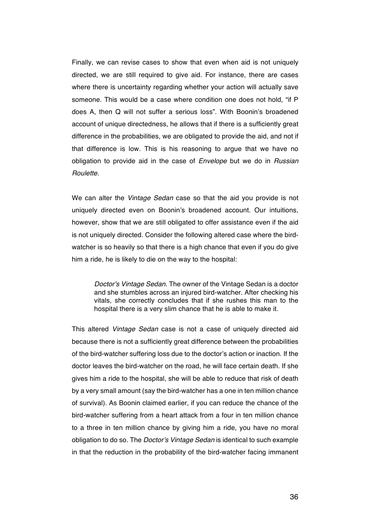Finally, we can revise cases to show that even when aid is not uniquely directed, we are still required to give aid. For instance, there are cases where there is uncertainty regarding whether your action will actually save someone. This would be a case where condition one does not hold, "if P does A, then Q will not suffer a serious loss". With Boonin's broadened account of unique directedness, he allows that if there is a sufficiently great difference in the probabilities, we are obligated to provide the aid, and not if that difference is low. This is his reasoning to argue that we have no obligation to provide aid in the case of *Envelope* but we do in *Russian Roulette*.

We can alter the *Vintage Sedan* case so that the aid you provide is not uniquely directed even on Boonin's broadened account. Our intuitions, however, show that we are still obligated to offer assistance even if the aid is not uniquely directed. Consider the following altered case where the birdwatcher is so heavily so that there is a high chance that even if you do give him a ride, he is likely to die on the way to the hospital:

*Doctor's Vintage Sedan*. The owner of the Vintage Sedan is a doctor and she stumbles across an injured bird-watcher. After checking his vitals, she correctly concludes that if she rushes this man to the hospital there is a very slim chance that he is able to make it.

This altered *Vintage Sedan* case is not a case of uniquely directed aid because there is not a sufficiently great difference between the probabilities of the bird-watcher suffering loss due to the doctor's action or inaction. If the doctor leaves the bird-watcher on the road, he will face certain death. If she gives him a ride to the hospital, she will be able to reduce that risk of death by a very small amount (say the bird-watcher has a one in ten million chance of survival). As Boonin claimed earlier, if you can reduce the chance of the bird-watcher suffering from a heart attack from a four in ten million chance to a three in ten million chance by giving him a ride, you have no moral obligation to do so. The *Doctor's Vintage Sedan* is identical to such example in that the reduction in the probability of the bird-watcher facing immanent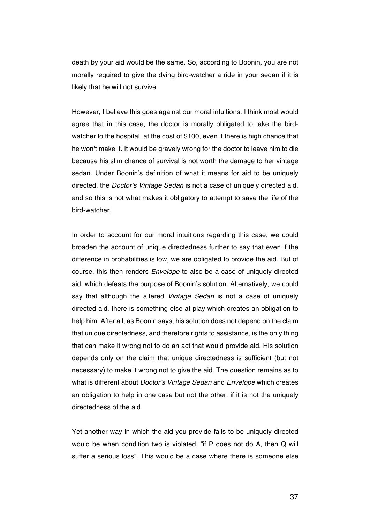death by your aid would be the same. So, according to Boonin, you are not morally required to give the dying bird-watcher a ride in your sedan if it is likely that he will not survive.

However, I believe this goes against our moral intuitions. I think most would agree that in this case, the doctor is morally obligated to take the birdwatcher to the hospital, at the cost of \$100, even if there is high chance that he won't make it. It would be gravely wrong for the doctor to leave him to die because his slim chance of survival is not worth the damage to her vintage sedan. Under Boonin's definition of what it means for aid to be uniquely directed, the *Doctor's Vintage Sedan* is not a case of uniquely directed aid, and so this is not what makes it obligatory to attempt to save the life of the bird-watcher.

In order to account for our moral intuitions regarding this case, we could broaden the account of unique directedness further to say that even if the difference in probabilities is low, we are obligated to provide the aid. But of course, this then renders *Envelope* to also be a case of uniquely directed aid, which defeats the purpose of Boonin's solution. Alternatively, we could say that although the altered *Vintage Sedan* is not a case of uniquely directed aid, there is something else at play which creates an obligation to help him. After all, as Boonin says, his solution does not depend on the claim that unique directedness, and therefore rights to assistance, is the only thing that can make it wrong not to do an act that would provide aid. His solution depends only on the claim that unique directedness is sufficient (but not necessary) to make it wrong not to give the aid. The question remains as to what is different about *Doctor's Vintage Sedan* and *Envelope* which creates an obligation to help in one case but not the other, if it is not the uniquely directedness of the aid.

Yet another way in which the aid you provide fails to be uniquely directed would be when condition two is violated, "if P does not do A, then Q will suffer a serious loss". This would be a case where there is someone else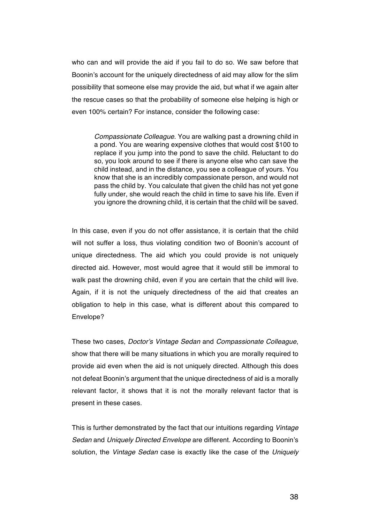who can and will provide the aid if you fail to do so. We saw before that Boonin's account for the uniquely directedness of aid may allow for the slim possibility that someone else may provide the aid, but what if we again alter the rescue cases so that the probability of someone else helping is high or even 100% certain? For instance, consider the following case:

*Compassionate Colleague*. You are walking past a drowning child in a pond. You are wearing expensive clothes that would cost \$100 to replace if you jump into the pond to save the child. Reluctant to do so, you look around to see if there is anyone else who can save the child instead, and in the distance, you see a colleague of yours. You know that she is an incredibly compassionate person, and would not pass the child by. You calculate that given the child has not yet gone fully under, she would reach the child in time to save his life. Even if you ignore the drowning child, it is certain that the child will be saved.

In this case, even if you do not offer assistance, it is certain that the child will not suffer a loss, thus violating condition two of Boonin's account of unique directedness. The aid which you could provide is not uniquely directed aid. However, most would agree that it would still be immoral to walk past the drowning child, even if you are certain that the child will live. Again, if it is not the uniquely directedness of the aid that creates an obligation to help in this case, what is different about this compared to Envelope?

These two cases, *Doctor's Vintage Sedan* and *Compassionate Colleague*, show that there will be many situations in which you are morally required to provide aid even when the aid is not uniquely directed. Although this does not defeat Boonin's argument that the unique directedness of aid is a morally relevant factor, it shows that it is not the morally relevant factor that is present in these cases.

This is further demonstrated by the fact that our intuitions regarding *Vintage Sedan* and *Uniquely Directed Envelope* are different. According to Boonin's solution, the *Vintage Sedan* case is exactly like the case of the *Uniquely*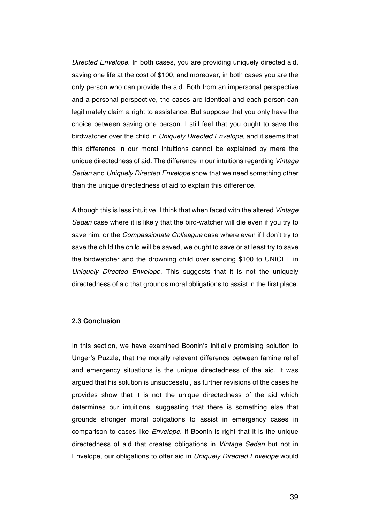*Directed Envelope*. In both cases, you are providing uniquely directed aid, saving one life at the cost of \$100, and moreover, in both cases you are the only person who can provide the aid. Both from an impersonal perspective and a personal perspective, the cases are identical and each person can legitimately claim a right to assistance. But suppose that you only have the choice between saving one person. I still feel that you ought to save the birdwatcher over the child in *Uniquely Directed Envelope,* and it seems that this difference in our moral intuitions cannot be explained by mere the unique directedness of aid. The difference in our intuitions regarding *Vintage Sedan* and *Uniquely Directed Envelope* show that we need something other than the unique directedness of aid to explain this difference.

Although this is less intuitive, I think that when faced with the altered *Vintage Sedan* case where it is likely that the bird-watcher will die even if you try to save him, or the *Compassionate Colleague* case where even if I don't try to save the child the child will be saved, we ought to save or at least try to save the birdwatcher and the drowning child over sending \$100 to UNICEF in *Uniquely Directed Envelope*. This suggests that it is not the uniquely directedness of aid that grounds moral obligations to assist in the first place.

### **2.3 Conclusion**

In this section, we have examined Boonin's initially promising solution to Unger's Puzzle, that the morally relevant difference between famine relief and emergency situations is the unique directedness of the aid. It was argued that his solution is unsuccessful, as further revisions of the cases he provides show that it is not the unique directedness of the aid which determines our intuitions, suggesting that there is something else that grounds stronger moral obligations to assist in emergency cases in comparison to cases like *Envelope*. If Boonin is right that it is the unique directedness of aid that creates obligations in *Vintage Sedan* but not in Envelope, our obligations to offer aid in *Uniquely Directed Envelope* would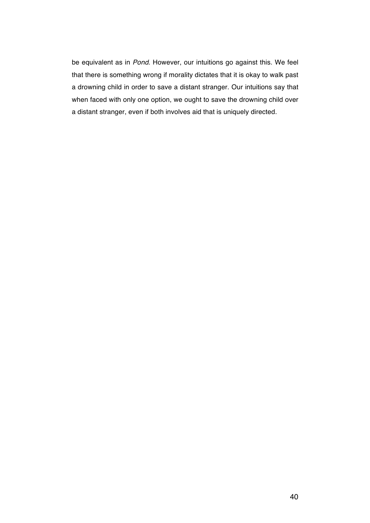be equivalent as in *Pond*. However, our intuitions go against this. We feel that there is something wrong if morality dictates that it is okay to walk past a drowning child in order to save a distant stranger. Our intuitions say that when faced with only one option, we ought to save the drowning child over a distant stranger, even if both involves aid that is uniquely directed.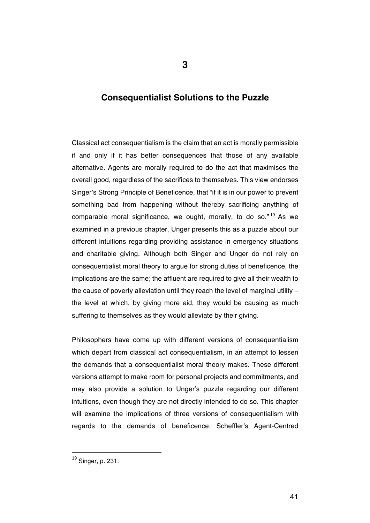# **Consequentialist Solutions to the Puzzle**

Classical act consequentialism is the claim that an act is morally permissible if and only if it has better consequences that those of any available alternative. Agents are morally required to do the act that maximises the overall good, regardless of the sacrifices to themselves. This view endorses Singer's Strong Principle of Beneficence, that "if it is in our power to prevent something bad from happening without thereby sacrificing anything of comparable moral significance, we ought, morally, to do so."<sup>19</sup> As we examined in a previous chapter, Unger presents this as a puzzle about our different intuitions regarding providing assistance in emergency situations and charitable giving. Although both Singer and Unger do not rely on consequentialist moral theory to argue for strong duties of beneficence, the implications are the same; the affluent are required to give all their wealth to the cause of poverty alleviation until they reach the level of marginal utility  $$ the level at which, by giving more aid, they would be causing as much suffering to themselves as they would alleviate by their giving.

Philosophers have come up with different versions of consequentialism which depart from classical act consequentialism, in an attempt to lessen the demands that a consequentialist moral theory makes. These different versions attempt to make room for personal projects and commitments, and may also provide a solution to Unger's puzzle regarding our different intuitions, even though they are not directly intended to do so. This chapter will examine the implications of three versions of consequentialism with regards to the demands of beneficence: Scheffler's Agent-Centred

<sup>19</sup> Singer, p. 231.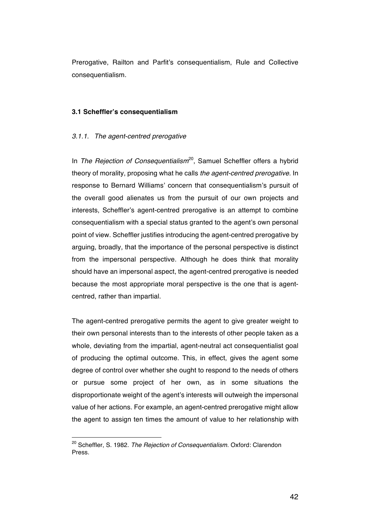Prerogative, Railton and Parfit's consequentialism, Rule and Collective consequentialism.

### **3.1 Scheffler's consequentialism**

### *3.1.1. The agent-centred prerogative*

In *The Rejection of Consequentialism*<sup>20</sup>, Samuel Scheffler offers a hybrid theory of morality, proposing what he calls *the agent-centred prerogative*. In response to Bernard Williams' concern that consequentialism's pursuit of the overall good alienates us from the pursuit of our own projects and interests, Scheffler's agent-centred prerogative is an attempt to combine consequentialism with a special status granted to the agent's own personal point of view. Scheffler justifies introducing the agent-centred prerogative by arguing, broadly, that the importance of the personal perspective is distinct from the impersonal perspective. Although he does think that morality should have an impersonal aspect, the agent-centred prerogative is needed because the most appropriate moral perspective is the one that is agentcentred, rather than impartial.

The agent-centred prerogative permits the agent to give greater weight to their own personal interests than to the interests of other people taken as a whole, deviating from the impartial, agent-neutral act consequentialist goal of producing the optimal outcome. This, in effect, gives the agent some degree of control over whether she ought to respond to the needs of others or pursue some project of her own, as in some situations the disproportionate weight of the agent's interests will outweigh the impersonal value of her actions. For example, an agent-centred prerogative might allow the agent to assign ten times the amount of value to her relationship with

<sup>20</sup> Scheffler, S. 1982. *The Rejection of Consequentialism*. Oxford: Clarendon Press.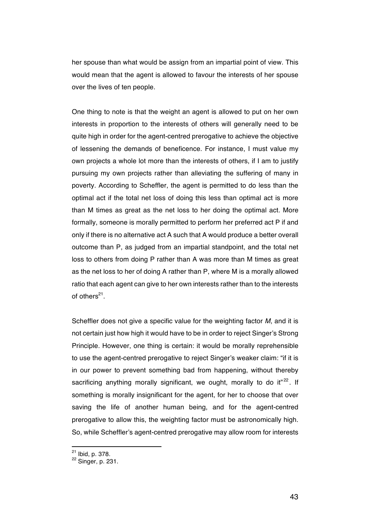her spouse than what would be assign from an impartial point of view. This would mean that the agent is allowed to favour the interests of her spouse over the lives of ten people.

One thing to note is that the weight an agent is allowed to put on her own interests in proportion to the interests of others will generally need to be quite high in order for the agent-centred prerogative to achieve the objective of lessening the demands of beneficence. For instance, I must value my own projects a whole lot more than the interests of others, if I am to justify pursuing my own projects rather than alleviating the suffering of many in poverty. According to Scheffler, the agent is permitted to do less than the optimal act if the total net loss of doing this less than optimal act is more than M times as great as the net loss to her doing the optimal act. More formally, someone is morally permitted to perform her preferred act P if and only if there is no alternative act A such that A would produce a better overall outcome than P, as judged from an impartial standpoint, and the total net loss to others from doing P rather than A was more than M times as great as the net loss to her of doing A rather than P, where M is a morally allowed ratio that each agent can give to her own interests rather than to the interests of others $^{21}$ .

Scheffler does not give a specific value for the weighting factor *M*, and it is not certain just how high it would have to be in order to reject Singer's Strong Principle. However, one thing is certain: it would be morally reprehensible to use the agent-centred prerogative to reject Singer's weaker claim: "if it is in our power to prevent something bad from happening, without thereby sacrificing anything morally significant, we ought, morally to do it<sup>"22</sup>. If something is morally insignificant for the agent, for her to choose that over saving the life of another human being, and for the agent-centred prerogative to allow this, the weighting factor must be astronomically high. So, while Scheffler's agent-centred prerogative may allow room for interests

 $^{21}$  Ibid, p. 378.<br> $^{22}$  Singer, p. 231.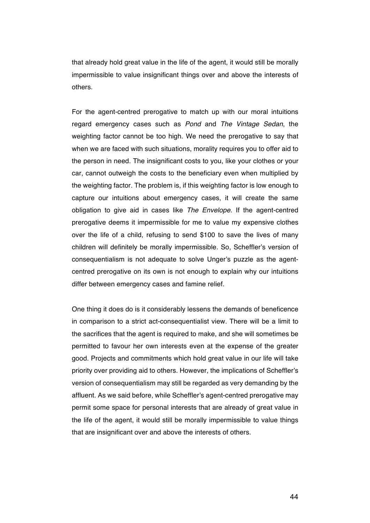that already hold great value in the life of the agent, it would still be morally impermissible to value insignificant things over and above the interests of others.

For the agent-centred prerogative to match up with our moral intuitions regard emergency cases such as *Pond* and *The Vintage Sedan*, the weighting factor cannot be too high. We need the prerogative to say that when we are faced with such situations, morality requires you to offer aid to the person in need. The insignificant costs to you, like your clothes or your car, cannot outweigh the costs to the beneficiary even when multiplied by the weighting factor. The problem is, if this weighting factor is low enough to capture our intuitions about emergency cases, it will create the same obligation to give aid in cases like *The Envelope*. If the agent-centred prerogative deems it impermissible for me to value my expensive clothes over the life of a child, refusing to send \$100 to save the lives of many children will definitely be morally impermissible. So, Scheffler's version of consequentialism is not adequate to solve Unger's puzzle as the agentcentred prerogative on its own is not enough to explain why our intuitions differ between emergency cases and famine relief.

One thing it does do is it considerably lessens the demands of beneficence in comparison to a strict act-consequentialist view. There will be a limit to the sacrifices that the agent is required to make, and she will sometimes be permitted to favour her own interests even at the expense of the greater good. Projects and commitments which hold great value in our life will take priority over providing aid to others. However, the implications of Scheffler's version of consequentialism may still be regarded as very demanding by the affluent. As we said before, while Scheffler's agent-centred prerogative may permit some space for personal interests that are already of great value in the life of the agent, it would still be morally impermissible to value things that are insignificant over and above the interests of others.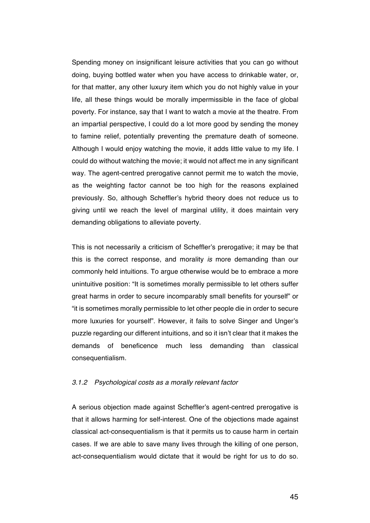Spending money on insignificant leisure activities that you can go without doing, buying bottled water when you have access to drinkable water, or, for that matter, any other luxury item which you do not highly value in your life, all these things would be morally impermissible in the face of global poverty. For instance, say that I want to watch a movie at the theatre. From an impartial perspective, I could do a lot more good by sending the money to famine relief, potentially preventing the premature death of someone. Although I would enjoy watching the movie, it adds little value to my life. I could do without watching the movie; it would not affect me in any significant way. The agent-centred prerogative cannot permit me to watch the movie, as the weighting factor cannot be too high for the reasons explained previously. So, although Scheffler's hybrid theory does not reduce us to giving until we reach the level of marginal utility, it does maintain very demanding obligations to alleviate poverty.

This is not necessarily a criticism of Scheffler's prerogative; it may be that this is the correct response, and morality *is* more demanding than our commonly held intuitions. To argue otherwise would be to embrace a more unintuitive position: "It is sometimes morally permissible to let others suffer great harms in order to secure incomparably small benefits for yourself" or "it is sometimes morally permissible to let other people die in order to secure more luxuries for yourself". However, it fails to solve Singer and Unger's puzzle regarding our different intuitions, and so it isn't clear that it makes the demands of beneficence much less demanding than classical consequentialism.

### *3.1.2 Psychological costs as a morally relevant factor*

A serious objection made against Scheffler's agent-centred prerogative is that it allows harming for self-interest. One of the objections made against classical act-consequentialism is that it permits us to cause harm in certain cases. If we are able to save many lives through the killing of one person, act-consequentialism would dictate that it would be right for us to do so.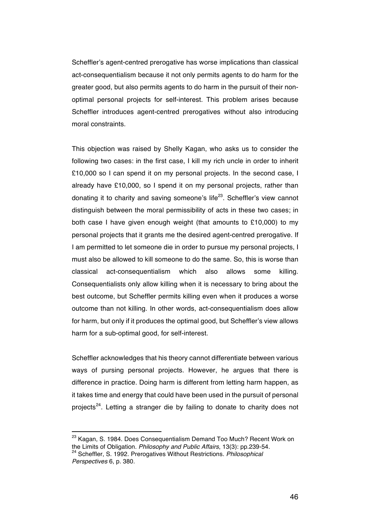Scheffler's agent-centred prerogative has worse implications than classical act-consequentialism because it not only permits agents to do harm for the greater good, but also permits agents to do harm in the pursuit of their nonoptimal personal projects for self-interest. This problem arises because Scheffler introduces agent-centred prerogatives without also introducing moral constraints.

This objection was raised by Shelly Kagan, who asks us to consider the following two cases: in the first case, I kill my rich uncle in order to inherit £10,000 so I can spend it on my personal projects. In the second case, I already have £10,000, so I spend it on my personal projects, rather than donating it to charity and saving someone's life<sup>23</sup>. Scheffler's view cannot distinguish between the moral permissibility of acts in these two cases; in both case I have given enough weight (that amounts to £10,000) to my personal projects that it grants me the desired agent-centred prerogative. If I am permitted to let someone die in order to pursue my personal projects, I must also be allowed to kill someone to do the same. So, this is worse than classical act-consequentialism which also allows some killing. Consequentialists only allow killing when it is necessary to bring about the best outcome, but Scheffler permits killing even when it produces a worse outcome than not killing. In other words, act-consequentialism does allow for harm, but only if it produces the optimal good, but Scheffler's view allows harm for a sub-optimal good, for self-interest.

Scheffler acknowledges that his theory cannot differentiate between various ways of pursing personal projects. However, he argues that there is difference in practice. Doing harm is different from letting harm happen, as it takes time and energy that could have been used in the pursuit of personal projects<sup>24</sup>. Letting a stranger die by failing to donate to charity does not

<sup>&</sup>lt;sup>23</sup> Kagan, S. 1984. Does Consequentialism Demand Too Much? Recent Work on the Limits of Obligation. *Philosophy and Public Affairs*, 13(3): pp.239-54. <sup>24</sup> Scheffler, S. 1992. Prerogatives Without Restrictions. *Philosophical Perspectives* 6, p. 380.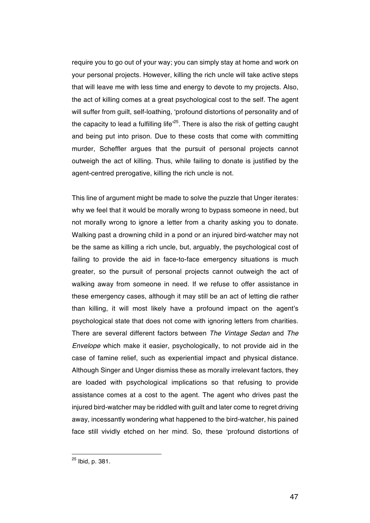require you to go out of your way; you can simply stay at home and work on your personal projects. However, killing the rich uncle will take active steps that will leave me with less time and energy to devote to my projects. Also, the act of killing comes at a great psychological cost to the self. The agent will suffer from guilt, self-loathing, 'profound distortions of personality and of the capacity to lead a fulfilling life<sup> $25$ </sup>. There is also the risk of getting caught and being put into prison. Due to these costs that come with committing murder, Scheffler argues that the pursuit of personal projects cannot outweigh the act of killing. Thus, while failing to donate is justified by the agent-centred prerogative, killing the rich uncle is not.

This line of argument might be made to solve the puzzle that Unger iterates: why we feel that it would be morally wrong to bypass someone in need, but not morally wrong to ignore a letter from a charity asking you to donate. Walking past a drowning child in a pond or an injured bird-watcher may not be the same as killing a rich uncle, but, arguably, the psychological cost of failing to provide the aid in face-to-face emergency situations is much greater, so the pursuit of personal projects cannot outweigh the act of walking away from someone in need. If we refuse to offer assistance in these emergency cases, although it may still be an act of letting die rather than killing, it will most likely have a profound impact on the agent's psychological state that does not come with ignoring letters from charities. There are several different factors between *The Vintage Sedan* and *The Envelope* which make it easier, psychologically, to not provide aid in the case of famine relief, such as experiential impact and physical distance. Although Singer and Unger dismiss these as morally irrelevant factors, they are loaded with psychological implications so that refusing to provide assistance comes at a cost to the agent. The agent who drives past the injured bird-watcher may be riddled with guilt and later come to regret driving away, incessantly wondering what happened to the bird-watcher, his pained face still vividly etched on her mind. So, these 'profound distortions of

<sup>25</sup> Ibid, p. 381.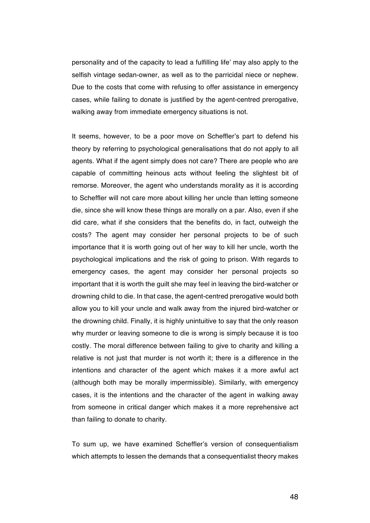personality and of the capacity to lead a fulfilling life' may also apply to the selfish vintage sedan-owner, as well as to the parricidal niece or nephew. Due to the costs that come with refusing to offer assistance in emergency cases, while failing to donate is justified by the agent-centred prerogative, walking away from immediate emergency situations is not.

It seems, however, to be a poor move on Scheffler's part to defend his theory by referring to psychological generalisations that do not apply to all agents. What if the agent simply does not care? There are people who are capable of committing heinous acts without feeling the slightest bit of remorse. Moreover, the agent who understands morality as it is according to Scheffler will not care more about killing her uncle than letting someone die, since she will know these things are morally on a par. Also, even if she did care, what if she considers that the benefits do, in fact, outweigh the costs? The agent may consider her personal projects to be of such importance that it is worth going out of her way to kill her uncle, worth the psychological implications and the risk of going to prison. With regards to emergency cases, the agent may consider her personal projects so important that it is worth the guilt she may feel in leaving the bird-watcher or drowning child to die. In that case, the agent-centred prerogative would both allow you to kill your uncle and walk away from the injured bird-watcher or the drowning child. Finally, it is highly unintuitive to say that the only reason why murder or leaving someone to die is wrong is simply because it is too costly. The moral difference between failing to give to charity and killing a relative is not just that murder is not worth it; there is a difference in the intentions and character of the agent which makes it a more awful act (although both may be morally impermissible). Similarly, with emergency cases, it is the intentions and the character of the agent in walking away from someone in critical danger which makes it a more reprehensive act than failing to donate to charity.

To sum up, we have examined Scheffler's version of consequentialism which attempts to lessen the demands that a consequentialist theory makes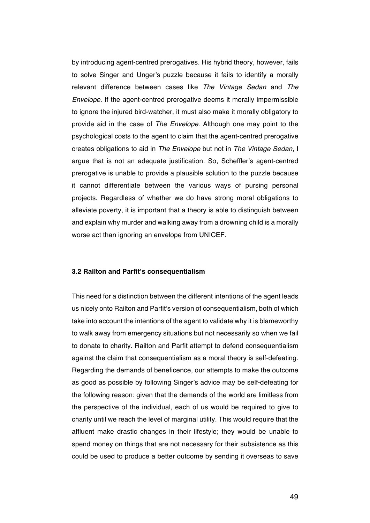by introducing agent-centred prerogatives. His hybrid theory, however, fails to solve Singer and Unger's puzzle because it fails to identify a morally relevant difference between cases like *The Vintage Sedan* and *The Envelope*. If the agent-centred prerogative deems it morally impermissible to ignore the injured bird-watcher, it must also make it morally obligatory to provide aid in the case of *The Envelope*. Although one may point to the psychological costs to the agent to claim that the agent-centred prerogative creates obligations to aid in *The Envelope* but not in *The Vintage Sedan*, I argue that is not an adequate justification. So, Scheffler's agent-centred prerogative is unable to provide a plausible solution to the puzzle because it cannot differentiate between the various ways of pursing personal projects. Regardless of whether we do have strong moral obligations to alleviate poverty, it is important that a theory is able to distinguish between and explain why murder and walking away from a drowning child is a morally worse act than ignoring an envelope from UNICEF.

#### **3.2 Railton and Parfit's consequentialism**

This need for a distinction between the different intentions of the agent leads us nicely onto Railton and Parfit's version of consequentialism, both of which take into account the intentions of the agent to validate why it is blameworthy to walk away from emergency situations but not necessarily so when we fail to donate to charity. Railton and Parfit attempt to defend consequentialism against the claim that consequentialism as a moral theory is self-defeating. Regarding the demands of beneficence, our attempts to make the outcome as good as possible by following Singer's advice may be self-defeating for the following reason: given that the demands of the world are limitless from the perspective of the individual, each of us would be required to give to charity until we reach the level of marginal utility. This would require that the affluent make drastic changes in their lifestyle; they would be unable to spend money on things that are not necessary for their subsistence as this could be used to produce a better outcome by sending it overseas to save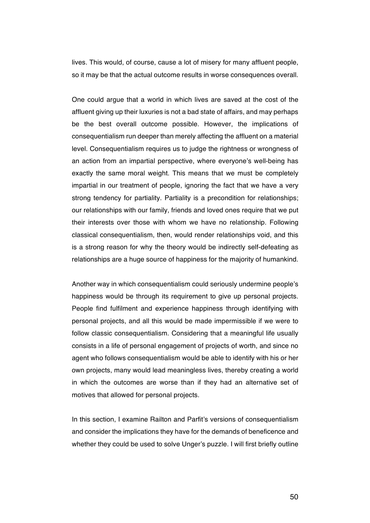lives. This would, of course, cause a lot of misery for many affluent people, so it may be that the actual outcome results in worse consequences overall.

One could argue that a world in which lives are saved at the cost of the affluent giving up their luxuries is not a bad state of affairs, and may perhaps be the best overall outcome possible. However, the implications of consequentialism run deeper than merely affecting the affluent on a material level. Consequentialism requires us to judge the rightness or wrongness of an action from an impartial perspective, where everyone's well-being has exactly the same moral weight. This means that we must be completely impartial in our treatment of people, ignoring the fact that we have a very strong tendency for partiality. Partiality is a precondition for relationships; our relationships with our family, friends and loved ones require that we put their interests over those with whom we have no relationship. Following classical consequentialism, then, would render relationships void, and this is a strong reason for why the theory would be indirectly self-defeating as relationships are a huge source of happiness for the majority of humankind.

Another way in which consequentialism could seriously undermine people's happiness would be through its requirement to give up personal projects. People find fulfilment and experience happiness through identifying with personal projects, and all this would be made impermissible if we were to follow classic consequentialism. Considering that a meaningful life usually consists in a life of personal engagement of projects of worth, and since no agent who follows consequentialism would be able to identify with his or her own projects, many would lead meaningless lives, thereby creating a world in which the outcomes are worse than if they had an alternative set of motives that allowed for personal projects.

In this section, I examine Railton and Parfit's versions of consequentialism and consider the implications they have for the demands of beneficence and whether they could be used to solve Unger's puzzle. I will first briefly outline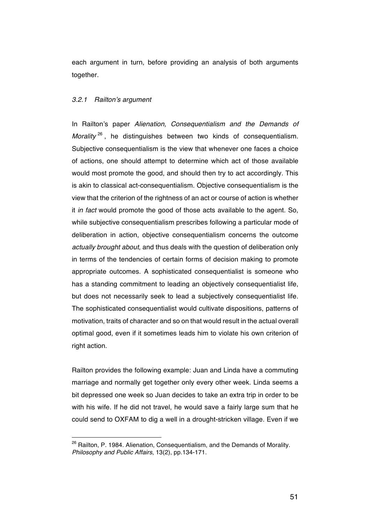each argument in turn, before providing an analysis of both arguments together.

### *3.2.1 Railton's argument*

In Railton's paper *Alienation, Consequentialism and the Demands of Morality* <sup>26</sup>, he distinguishes between two kinds of consequentialism. Subjective consequentialism is the view that whenever one faces a choice of actions, one should attempt to determine which act of those available would most promote the good, and should then try to act accordingly. This is akin to classical act-consequentialism. Objective consequentialism is the view that the criterion of the rightness of an act or course of action is whether it *in fact* would promote the good of those acts available to the agent. So, while subjective consequentialism prescribes following a particular mode of deliberation in action, objective consequentialism concerns the outcome *actually brought about*, and thus deals with the question of deliberation only in terms of the tendencies of certain forms of decision making to promote appropriate outcomes. A sophisticated consequentialist is someone who has a standing commitment to leading an objectively consequentialist life, but does not necessarily seek to lead a subjectively consequentialist life. The sophisticated consequentialist would cultivate dispositions, patterns of motivation, traits of character and so on that would result in the actual overall optimal good, even if it sometimes leads him to violate his own criterion of right action.

Railton provides the following example: Juan and Linda have a commuting marriage and normally get together only every other week. Linda seems a bit depressed one week so Juan decides to take an extra trip in order to be with his wife. If he did not travel, he would save a fairly large sum that he could send to OXFAM to dig a well in a drought-stricken village. Even if we

<sup>&</sup>lt;sup>26</sup> Railton, P. 1984. Alienation, Consequentialism, and the Demands of Morality. *Philosophy and Public Affairs*, 13(2), pp.134-171.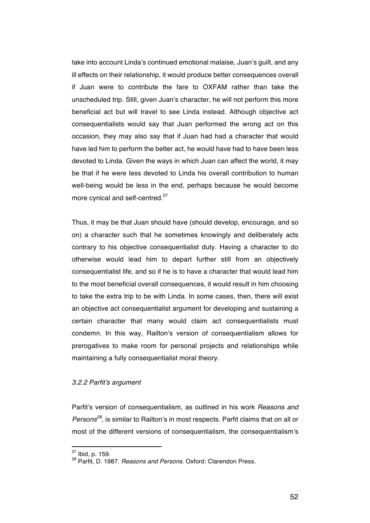take into account Linda's continued emotional malaise, Juan's guilt, and any ill effects on their relationship, it would produce better consequences overall if Juan were to contribute the fare to OXFAM rather than take the unscheduled trip. Still, given Juan's character, he will not perform this more beneficial act but will travel to see Linda instead. Although objective act consequentialists would say that Juan performed the wrong act on this occasion, they may also say that if Juan had had a character that would have led him to perform the better act, he would have had to have been less devoted to Linda. Given the ways in which Juan can affect the world, it may be that if he were less devoted to Linda his overall contribution to human well-being would be less in the end, perhaps because he would become more cynical and self-centred.<sup>27</sup>

Thus, it may be that Juan should have (should develop, encourage, and so on) a character such that he sometimes knowingly and deliberately acts contrary to his objective consequentialist duty. Having a character to do otherwise would lead him to depart further still from an objectively consequentialist life, and so if he is to have a character that would lead him to the most beneficial overall consequences, it would result in him choosing to take the extra trip to be with Linda. In some cases, then, there will exist an objective act consequentialist argument for developing and sustaining a certain character that many would claim act consequentialists must condemn. In this way, Railton's version of consequentialism allows for prerogatives to make room for personal projects and relationships while maintaining a fully consequentialist moral theory.

### *3.2.2 Parfit's argument*

 

Parfit's version of consequentialism, as outlined in his work *Reasons and Persons<sup>28</sup>*, is similar to Railton's in most respects. Parfit claims that on all or most of the different versions of consequentialism, the consequentialism's

<sup>27</sup> Ibid, p. 159.

<sup>28</sup> Parfit, D. 1987. *Reasons and Persons*. Oxford: Clarendon Press.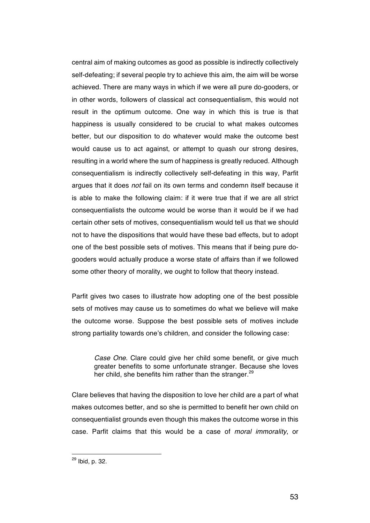central aim of making outcomes as good as possible is indirectly collectively self-defeating; if several people try to achieve this aim, the aim will be worse achieved. There are many ways in which if we were all pure do-gooders, or in other words, followers of classical act consequentialism, this would not result in the optimum outcome. One way in which this is true is that happiness is usually considered to be crucial to what makes outcomes better, but our disposition to do whatever would make the outcome best would cause us to act against, or attempt to quash our strong desires, resulting in a world where the sum of happiness is greatly reduced. Although consequentialism is indirectly collectively self-defeating in this way, Parfit argues that it does *not* fail on its own terms and condemn itself because it is able to make the following claim: if it were true that if we are all strict consequentialists the outcome would be worse than it would be if we had certain other sets of motives, consequentialism would tell us that we should not to have the dispositions that would have these bad effects, but to adopt one of the best possible sets of motives. This means that if being pure dogooders would actually produce a worse state of affairs than if we followed some other theory of morality, we ought to follow that theory instead.

Parfit gives two cases to illustrate how adopting one of the best possible sets of motives may cause us to sometimes do what we believe will make the outcome worse. Suppose the best possible sets of motives include strong partiality towards one's children, and consider the following case:

*Case One*. Clare could give her child some benefit, or give much greater benefits to some unfortunate stranger. Because she loves her child, she benefits him rather than the stranger.<sup>29</sup>

Clare believes that having the disposition to love her child are a part of what makes outcomes better, and so she is permitted to benefit her own child on consequentialist grounds even though this makes the outcome worse in this case. Parfit claims that this would be a case of *moral immorality*, or

<sup>29</sup> Ibid, p. 32.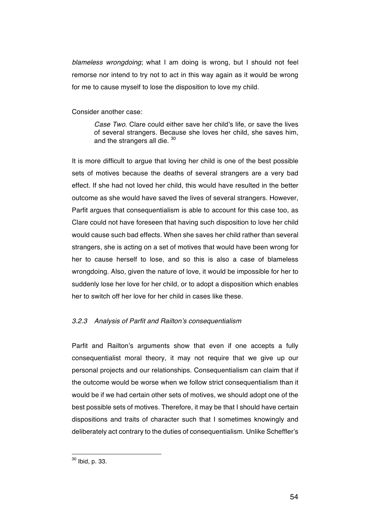*blameless wrongdoing*; what I am doing is wrong, but I should not feel remorse nor intend to try not to act in this way again as it would be wrong for me to cause myself to lose the disposition to love my child.

Consider another case:

*Case Two*. Clare could either save her child's life, or save the lives of several strangers. Because she loves her child, she saves him, and the strangers all die. 30

It is more difficult to argue that loving her child is one of the best possible sets of motives because the deaths of several strangers are a very bad effect. If she had not loved her child, this would have resulted in the better outcome as she would have saved the lives of several strangers. However, Parfit argues that consequentialism is able to account for this case too, as Clare could not have foreseen that having such disposition to love her child would cause such bad effects. When she saves her child rather than several strangers, she is acting on a set of motives that would have been wrong for her to cause herself to lose, and so this is also a case of blameless wrongdoing. Also, given the nature of love, it would be impossible for her to suddenly lose her love for her child, or to adopt a disposition which enables her to switch off her love for her child in cases like these.

## *3.2.3 Analysis of Parfit and Railton's consequentialism*

Parfit and Railton's arguments show that even if one accepts a fully consequentialist moral theory, it may not require that we give up our personal projects and our relationships. Consequentialism can claim that if the outcome would be worse when we follow strict consequentialism than it would be if we had certain other sets of motives, we should adopt one of the best possible sets of motives. Therefore, it may be that I should have certain dispositions and traits of character such that I sometimes knowingly and deliberately act contrary to the duties of consequentialism. Unlike Scheffler's

 $^{30}$  Ibid, p. 33.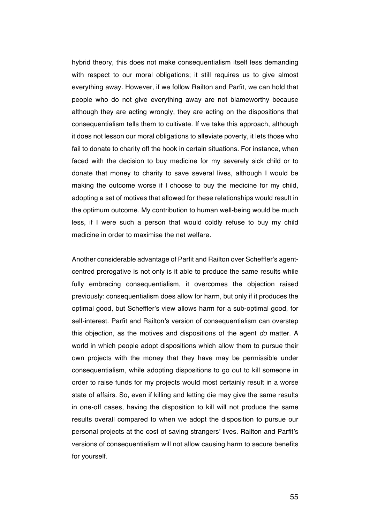hybrid theory, this does not make consequentialism itself less demanding with respect to our moral obligations; it still requires us to give almost everything away. However, if we follow Railton and Parfit, we can hold that people who do not give everything away are not blameworthy because although they are acting wrongly, they are acting on the dispositions that consequentialism tells them to cultivate. If we take this approach, although it does not lesson our moral obligations to alleviate poverty, it lets those who fail to donate to charity off the hook in certain situations. For instance, when faced with the decision to buy medicine for my severely sick child or to donate that money to charity to save several lives, although I would be making the outcome worse if I choose to buy the medicine for my child, adopting a set of motives that allowed for these relationships would result in the optimum outcome. My contribution to human well-being would be much less, if I were such a person that would coldly refuse to buy my child medicine in order to maximise the net welfare.

Another considerable advantage of Parfit and Railton over Scheffler's agentcentred prerogative is not only is it able to produce the same results while fully embracing consequentialism, it overcomes the objection raised previously: consequentialism does allow for harm, but only if it produces the optimal good, but Scheffler's view allows harm for a sub-optimal good, for self-interest. Parfit and Railton's version of consequentialism can overstep this objection, as the motives and dispositions of the agent *do* matter. A world in which people adopt dispositions which allow them to pursue their own projects with the money that they have may be permissible under consequentialism, while adopting dispositions to go out to kill someone in order to raise funds for my projects would most certainly result in a worse state of affairs. So, even if killing and letting die may give the same results in one-off cases, having the disposition to kill will not produce the same results overall compared to when we adopt the disposition to pursue our personal projects at the cost of saving strangers' lives. Railton and Parfit's versions of consequentialism will not allow causing harm to secure benefits for yourself.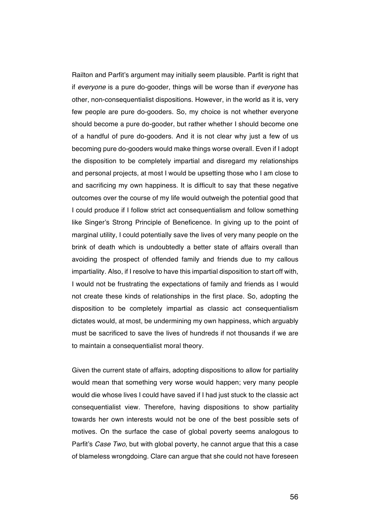Railton and Parfit's argument may initially seem plausible. Parfit is right that if *everyone* is a pure do-gooder, things will be worse than if *everyone* has other, non-consequentialist dispositions. However, in the world as it is, very few people are pure do-gooders. So, my choice is not whether everyone should become a pure do-gooder, but rather whether I should become one of a handful of pure do-gooders. And it is not clear why just a few of us becoming pure do-gooders would make things worse overall. Even if I adopt the disposition to be completely impartial and disregard my relationships and personal projects, at most I would be upsetting those who I am close to and sacrificing my own happiness. It is difficult to say that these negative outcomes over the course of my life would outweigh the potential good that I could produce if I follow strict act consequentialism and follow something like Singer's Strong Principle of Beneficence. In giving up to the point of marginal utility, I could potentially save the lives of very many people on the brink of death which is undoubtedly a better state of affairs overall than avoiding the prospect of offended family and friends due to my callous impartiality. Also, if I resolve to have this impartial disposition to start off with, I would not be frustrating the expectations of family and friends as I would not create these kinds of relationships in the first place. So, adopting the disposition to be completely impartial as classic act consequentialism dictates would, at most, be undermining my own happiness, which arguably must be sacrificed to save the lives of hundreds if not thousands if we are to maintain a consequentialist moral theory.

Given the current state of affairs, adopting dispositions to allow for partiality would mean that something very worse would happen; very many people would die whose lives I could have saved if I had just stuck to the classic act consequentialist view. Therefore, having dispositions to show partiality towards her own interests would not be one of the best possible sets of motives. On the surface the case of global poverty seems analogous to Parfit's *Case Two*, but with global poverty, he cannot argue that this a case of blameless wrongdoing. Clare can argue that she could not have foreseen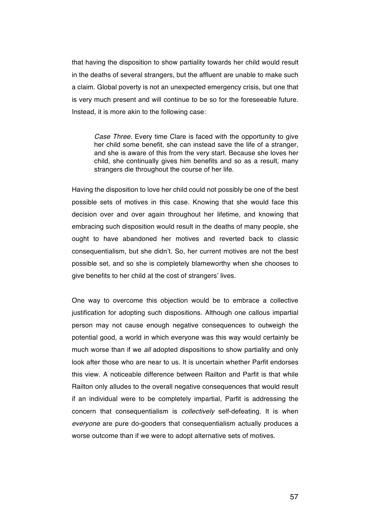that having the disposition to show partiality towards her child would result in the deaths of several strangers, but the affluent are unable to make such a claim. Global poverty is not an unexpected emergency crisis, but one that is very much present and will continue to be so for the foreseeable future. Instead, it is more akin to the following case:

*Case Three.* Every time Clare is faced with the opportunity to give her child some benefit, she can instead save the life of a stranger, and she is aware of this from the very start. Because she loves her child, she continually gives him benefits and so as a result, many strangers die throughout the course of her life.

Having the disposition to love her child could not possibly be one of the best possible sets of motives in this case. Knowing that she would face this decision over and over again throughout her lifetime, and knowing that embracing such disposition would result in the deaths of many people, she ought to have abandoned her motives and reverted back to classic consequentialism, but she didn't. So, her current motives are not the best possible set, and so she is completely blameworthy when she chooses to give benefits to her child at the cost of strangers' lives.

One way to overcome this objection would be to embrace a collective justification for adopting such dispositions. Although one callous impartial person may not cause enough negative consequences to outweigh the potential good, a world in which everyone was this way would certainly be much worse than if we *all* adopted dispositions to show partiality and only look after those who are near to us. It is uncertain whether Parfit endorses this view. A noticeable difference between Railton and Parfit is that while Railton only alludes to the overall negative consequences that would result if an individual were to be completely impartial, Parfit is addressing the concern that consequentialism is *collectively* self-defeating. It is when *everyone* are pure do-gooders that consequentialism actually produces a worse outcome than if we were to adopt alternative sets of motives.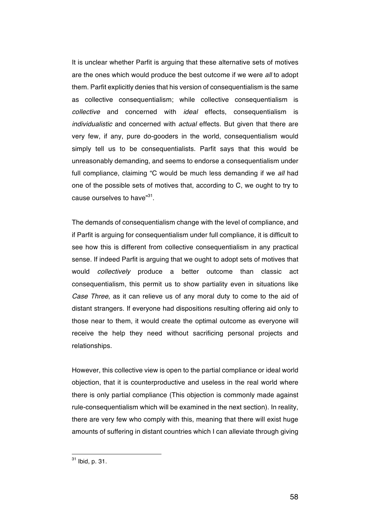It is unclear whether Parfit is arguing that these alternative sets of motives are the ones which would produce the best outcome if we were *all* to adopt them. Parfit explicitly denies that his version of consequentialism is the same as collective consequentialism; while collective consequentialism is *collective* and concerned with *ideal* effects, consequentialism is *individualistic* and concerned with *actual* effects. But given that there are very few, if any, pure do-gooders in the world, consequentialism would simply tell us to be consequentialists. Parfit says that this would be unreasonably demanding, and seems to endorse a consequentialism under full compliance, claiming "C would be much less demanding if we *all* had one of the possible sets of motives that, according to C, we ought to try to cause ourselves to have"<sup>31</sup>.

The demands of consequentialism change with the level of compliance, and if Parfit is arguing for consequentialism under full compliance, it is difficult to see how this is different from collective consequentialism in any practical sense. If indeed Parfit is arguing that we ought to adopt sets of motives that would *collectively* produce a better outcome than classic act consequentialism, this permit us to show partiality even in situations like *Case Three*, as it can relieve us of any moral duty to come to the aid of distant strangers. If everyone had dispositions resulting offering aid only to those near to them, it would create the optimal outcome as everyone will receive the help they need without sacrificing personal projects and relationships.

However, this collective view is open to the partial compliance or ideal world objection, that it is counterproductive and useless in the real world where there is only partial compliance (This objection is commonly made against rule-consequentialism which will be examined in the next section). In reality, there are very few who comply with this, meaning that there will exist huge amounts of suffering in distant countries which I can alleviate through giving

 $31$  Ibid, p. 31.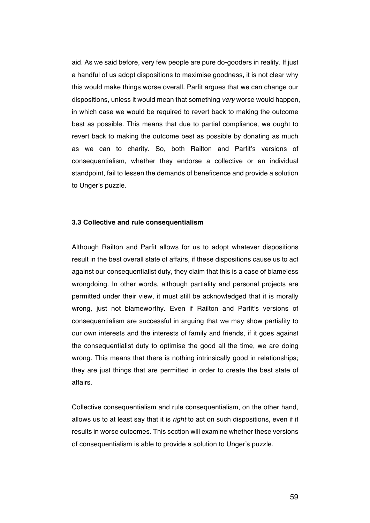aid. As we said before, very few people are pure do-gooders in reality. If just a handful of us adopt dispositions to maximise goodness, it is not clear why this would make things worse overall. Parfit argues that we can change our dispositions, unless it would mean that something *very* worse would happen, in which case we would be required to revert back to making the outcome best as possible. This means that due to partial compliance, we ought to revert back to making the outcome best as possible by donating as much as we can to charity. So, both Railton and Parfit's versions of consequentialism, whether they endorse a collective or an individual standpoint, fail to lessen the demands of beneficence and provide a solution to Unger's puzzle.

### **3.3 Collective and rule consequentialism**

Although Railton and Parfit allows for us to adopt whatever dispositions result in the best overall state of affairs, if these dispositions cause us to act against our consequentialist duty, they claim that this is a case of blameless wrongdoing. In other words, although partiality and personal projects are permitted under their view, it must still be acknowledged that it is morally wrong, just not blameworthy. Even if Railton and Parfit's versions of consequentialism are successful in arguing that we may show partiality to our own interests and the interests of family and friends, if it goes against the consequentialist duty to optimise the good all the time, we are doing wrong. This means that there is nothing intrinsically good in relationships; they are just things that are permitted in order to create the best state of affairs.

Collective consequentialism and rule consequentialism, on the other hand, allows us to at least say that it is *right* to act on such dispositions, even if it results in worse outcomes. This section will examine whether these versions of consequentialism is able to provide a solution to Unger's puzzle.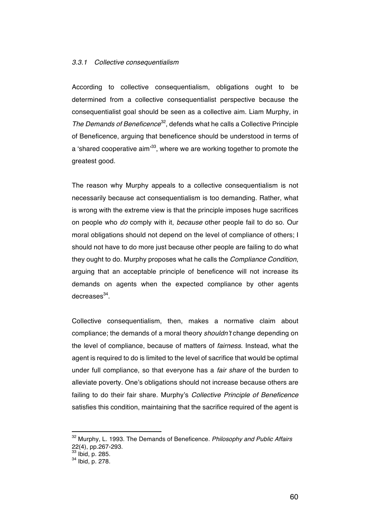### *3.3.1 Collective consequentialism*

According to collective consequentialism, obligations ought to be determined from a collective consequentialist perspective because the consequentialist goal should be seen as a collective aim. Liam Murphy, in *The Demands of Beneficence*32, defends what he calls a Collective Principle of Beneficence, arguing that beneficence should be understood in terms of a 'shared cooperative aim'<sup>33</sup>, where we are working together to promote the greatest good.

The reason why Murphy appeals to a collective consequentialism is not necessarily because act consequentialism is too demanding. Rather, what is wrong with the extreme view is that the principle imposes huge sacrifices on people who *do* comply with it, *because* other people fail to do so. Our moral obligations should not depend on the level of compliance of others; I should not have to do more just because other people are failing to do what they ought to do. Murphy proposes what he calls the *Compliance Condition*, arguing that an acceptable principle of beneficence will not increase its demands on agents when the expected compliance by other agents  $decreases<sup>34</sup>$ .

Collective consequentialism, then, makes a normative claim about compliance; the demands of a moral theory *shouldn't* change depending on the level of compliance, because of matters of *fairness*. Instead, what the agent is required to do is limited to the level of sacrifice that would be optimal under full compliance, so that everyone has a *fair share* of the burden to alleviate poverty. One's obligations should not increase because others are failing to do their fair share. Murphy's *Collective Principle of Beneficence*  satisfies this condition, maintaining that the sacrifice required of the agent is

<sup>32</sup> Murphy, L. 1993. The Demands of Beneficence. *Philosophy and Public Affairs* 22(4), pp.267-293.

 $rac{22}{33}$  lbid, p. 285.<br> $rac{34}{34}$  lbid, p. 278.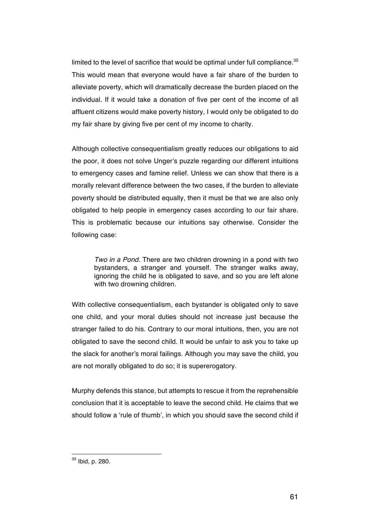limited to the level of sacrifice that would be optimal under full compliance. $35$ This would mean that everyone would have a fair share of the burden to alleviate poverty, which will dramatically decrease the burden placed on the individual. If it would take a donation of five per cent of the income of all affluent citizens would make poverty history, I would only be obligated to do my fair share by giving five per cent of my income to charity.

Although collective consequentialism greatly reduces our obligations to aid the poor, it does not solve Unger's puzzle regarding our different intuitions to emergency cases and famine relief. Unless we can show that there is a morally relevant difference between the two cases, if the burden to alleviate poverty should be distributed equally, then it must be that we are also only obligated to help people in emergency cases according to our fair share. This is problematic because our intuitions say otherwise. Consider the following case:

*Two in a Pond.* There are two children drowning in a pond with two bystanders, a stranger and yourself. The stranger walks away, ignoring the child he is obligated to save, and so you are left alone with two drowning children.

With collective consequentialism, each bystander is obligated only to save one child, and your moral duties should not increase just because the stranger failed to do his. Contrary to our moral intuitions, then, you are not obligated to save the second child. It would be unfair to ask you to take up the slack for another's moral failings. Although you may save the child, you are not morally obligated to do so; it is supererogatory.

Murphy defends this stance, but attempts to rescue it from the reprehensible conclusion that it is acceptable to leave the second child. He claims that we should follow a 'rule of thumb', in which you should save the second child if

<sup>35</sup> Ibid, p. 280.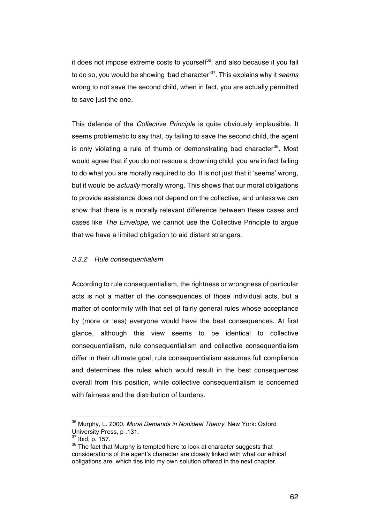it does not impose extreme costs to yourself<sup>36</sup>, and also because if you fail to do so, you would be showing 'bad character'37. This explains why it *seems*  wrong to not save the second child, when in fact, you are actually permitted to save just the one.

This defence of the *Collective Principle* is quite obviously implausible. It seems problematic to say that, by failing to save the second child, the agent is only violating a rule of thumb or demonstrating bad character<sup>38</sup>. Most would agree that if you do not rescue a drowning child, you *are* in fact failing to do what you are morally required to do. It is not just that it 'seems' wrong, but it would be *actually* morally wrong. This shows that our moral obligations to provide assistance does not depend on the collective, and unless we can show that there is a morally relevant difference between these cases and cases like *The Envelope*, we cannot use the Collective Principle to argue that we have a limited obligation to aid distant strangers.

### *3.3.2 Rule consequentialism*

According to rule consequentialism, the rightness or wrongness of particular acts is not a matter of the consequences of those individual acts, but a matter of conformity with that set of fairly general rules whose acceptance by (more or less) everyone would have the best consequences. At first glance, although this view seems to be identical to collective consequentialism, rule consequentialism and collective consequentialism differ in their ultimate goal; rule consequentialism assumes full compliance and determines the rules which would result in the best consequences overall from this position, while collective consequentialism is concerned with fairness and the distribution of burdens.

<sup>36</sup> Murphy, L. 2000. *Moral Demands in Nonideal Theory*. New York: Oxford University Press, p .131.<br> $37$  Ibid, p. 157.<br> $38$  The fact that Murphy is tempted here to look at character suggests that

considerations of the agent's character are closely linked with what our ethical obligations are, which ties into my own solution offered in the next chapter.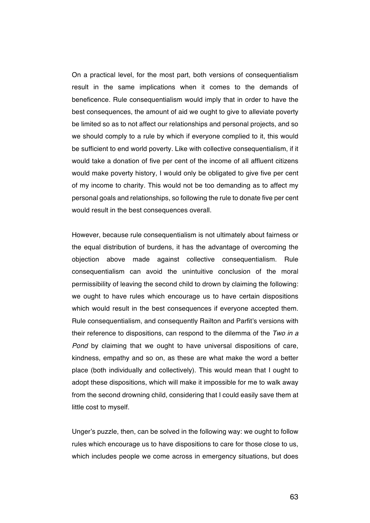On a practical level, for the most part, both versions of consequentialism result in the same implications when it comes to the demands of beneficence. Rule consequentialism would imply that in order to have the best consequences, the amount of aid we ought to give to alleviate poverty be limited so as to not affect our relationships and personal projects, and so we should comply to a rule by which if everyone complied to it, this would be sufficient to end world poverty. Like with collective consequentialism, if it would take a donation of five per cent of the income of all affluent citizens would make poverty history, I would only be obligated to give five per cent of my income to charity. This would not be too demanding as to affect my personal goals and relationships, so following the rule to donate five per cent would result in the best consequences overall.

However, because rule consequentialism is not ultimately about fairness or the equal distribution of burdens, it has the advantage of overcoming the objection above made against collective consequentialism. Rule consequentialism can avoid the unintuitive conclusion of the moral permissibility of leaving the second child to drown by claiming the following: we ought to have rules which encourage us to have certain dispositions which would result in the best consequences if everyone accepted them. Rule consequentialism, and consequently Railton and Parfit's versions with their reference to dispositions, can respond to the dilemma of the *Two in a Pond* by claiming that we ought to have universal dispositions of care, kindness, empathy and so on, as these are what make the word a better place (both individually and collectively). This would mean that I ought to adopt these dispositions, which will make it impossible for me to walk away from the second drowning child, considering that I could easily save them at little cost to myself.

Unger's puzzle, then, can be solved in the following way: we ought to follow rules which encourage us to have dispositions to care for those close to us, which includes people we come across in emergency situations, but does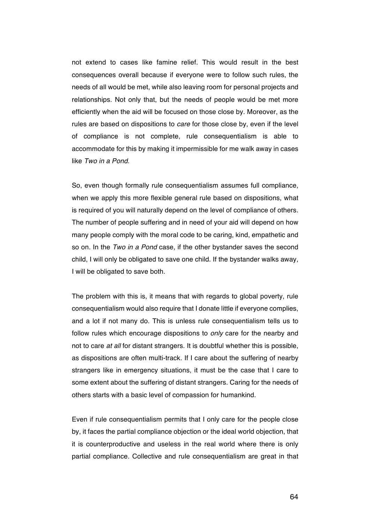not extend to cases like famine relief. This would result in the best consequences overall because if everyone were to follow such rules, the needs of all would be met, while also leaving room for personal projects and relationships. Not only that, but the needs of people would be met more efficiently when the aid will be focused on those close by. Moreover, as the rules are based on dispositions to *care* for those close by, even if the level of compliance is not complete, rule consequentialism is able to accommodate for this by making it impermissible for me walk away in cases like *Two in a Pond*.

So, even though formally rule consequentialism assumes full compliance, when we apply this more flexible general rule based on dispositions, what is required of you will naturally depend on the level of compliance of others. The number of people suffering and in need of your aid will depend on how many people comply with the moral code to be caring, kind, empathetic and so on. In the *Two in a Pond* case, if the other bystander saves the second child, I will only be obligated to save one child. If the bystander walks away, I will be obligated to save both.

The problem with this is, it means that with regards to global poverty, rule consequentialism would also require that I donate little if everyone complies, and a lot if not many do. This is unless rule consequentialism tells us to follow rules which encourage dispositions to *only* care for the nearby and not to care *at all* for distant strangers. It is doubtful whether this is possible, as dispositions are often multi-track. If I care about the suffering of nearby strangers like in emergency situations, it must be the case that I care to some extent about the suffering of distant strangers. Caring for the needs of others starts with a basic level of compassion for humankind.

Even if rule consequentialism permits that I only care for the people close by, it faces the partial compliance objection or the ideal world objection, that it is counterproductive and useless in the real world where there is only partial compliance. Collective and rule consequentialism are great in that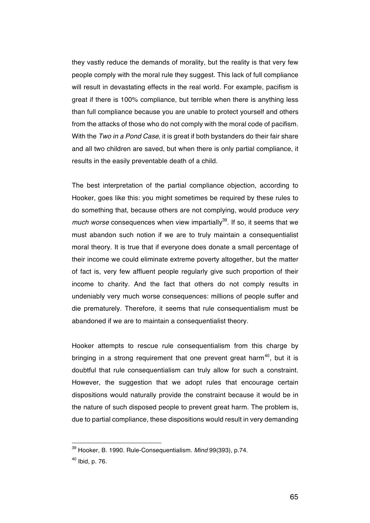they vastly reduce the demands of morality, but the reality is that very few people comply with the moral rule they suggest. This lack of full compliance will result in devastating effects in the real world. For example, pacifism is great if there is 100% compliance, but terrible when there is anything less than full compliance because you are unable to protect yourself and others from the attacks of those who do not comply with the moral code of pacifism. With the *Two in a Pond Case*, it is great if both bystanders do their fair share and all two children are saved, but when there is only partial compliance, it results in the easily preventable death of a child.

The best interpretation of the partial compliance objection, according to Hooker, goes like this: you might sometimes be required by these rules to do something that, because others are not complying, would produce *very much worse* consequences when view impartially<sup>39</sup>. If so, it seems that we must abandon such notion if we are to truly maintain a consequentialist moral theory. It is true that if everyone does donate a small percentage of their income we could eliminate extreme poverty altogether, but the matter of fact is, very few affluent people regularly give such proportion of their income to charity. And the fact that others do not comply results in undeniably very much worse consequences: millions of people suffer and die prematurely. Therefore, it seems that rule consequentialism must be abandoned if we are to maintain a consequentialist theory.

Hooker attempts to rescue rule consequentialism from this charge by bringing in a strong requirement that one prevent great harm<sup>40</sup>, but it is doubtful that rule consequentialism can truly allow for such a constraint. However, the suggestion that we adopt rules that encourage certain dispositions would naturally provide the constraint because it would be in the nature of such disposed people to prevent great harm. The problem is, due to partial compliance, these dispositions would result in very demanding

<sup>39</sup> Hooker, B. 1990. Rule-Consequentialism. *Mind* 99(393), p.74.

<sup>40</sup> Ibid, p. 76.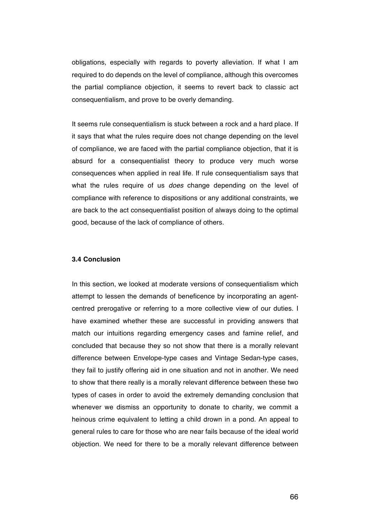obligations, especially with regards to poverty alleviation. If what I am required to do depends on the level of compliance, although this overcomes the partial compliance objection, it seems to revert back to classic act consequentialism, and prove to be overly demanding.

It seems rule consequentialism is stuck between a rock and a hard place. If it says that what the rules require does not change depending on the level of compliance, we are faced with the partial compliance objection, that it is absurd for a consequentialist theory to produce very much worse consequences when applied in real life. If rule consequentialism says that what the rules require of us *does* change depending on the level of compliance with reference to dispositions or any additional constraints, we are back to the act consequentialist position of always doing to the optimal good, because of the lack of compliance of others.

### **3.4 Conclusion**

In this section, we looked at moderate versions of consequentialism which attempt to lessen the demands of beneficence by incorporating an agentcentred prerogative or referring to a more collective view of our duties. I have examined whether these are successful in providing answers that match our intuitions regarding emergency cases and famine relief, and concluded that because they so not show that there is a morally relevant difference between Envelope-type cases and Vintage Sedan-type cases, they fail to justify offering aid in one situation and not in another. We need to show that there really is a morally relevant difference between these two types of cases in order to avoid the extremely demanding conclusion that whenever we dismiss an opportunity to donate to charity, we commit a heinous crime equivalent to letting a child drown in a pond. An appeal to general rules to care for those who are near fails because of the ideal world objection. We need for there to be a morally relevant difference between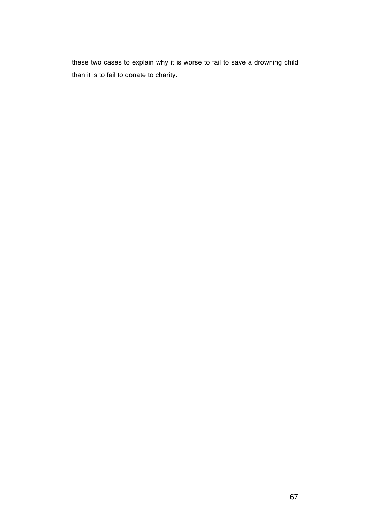these two cases to explain why it is worse to fail to save a drowning child than it is to fail to donate to charity.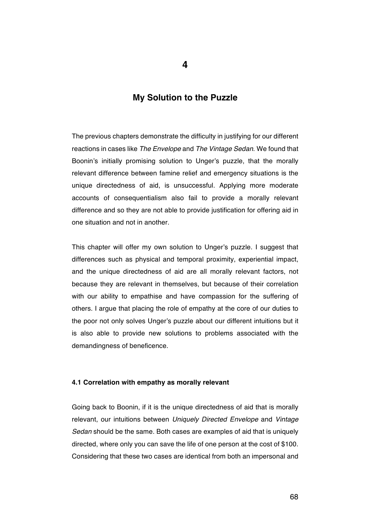**4**

# **My Solution to the Puzzle**

The previous chapters demonstrate the difficulty in justifying for our different reactions in cases like *The Envelope* and *The Vintage Sedan*. We found that Boonin's initially promising solution to Unger's puzzle, that the morally relevant difference between famine relief and emergency situations is the unique directedness of aid, is unsuccessful. Applying more moderate accounts of consequentialism also fail to provide a morally relevant difference and so they are not able to provide justification for offering aid in one situation and not in another.

This chapter will offer my own solution to Unger's puzzle. I suggest that differences such as physical and temporal proximity, experiential impact, and the unique directedness of aid are all morally relevant factors, not because they are relevant in themselves, but because of their correlation with our ability to empathise and have compassion for the suffering of others. I argue that placing the role of empathy at the core of our duties to the poor not only solves Unger's puzzle about our different intuitions but it is also able to provide new solutions to problems associated with the demandingness of beneficence.

### **4.1 Correlation with empathy as morally relevant**

Going back to Boonin, if it is the unique directedness of aid that is morally relevant, our intuitions between *Uniquely Directed Envelope* and *Vintage Sedan* should be the same. Both cases are examples of aid that is uniquely directed, where only you can save the life of one person at the cost of \$100. Considering that these two cases are identical from both an impersonal and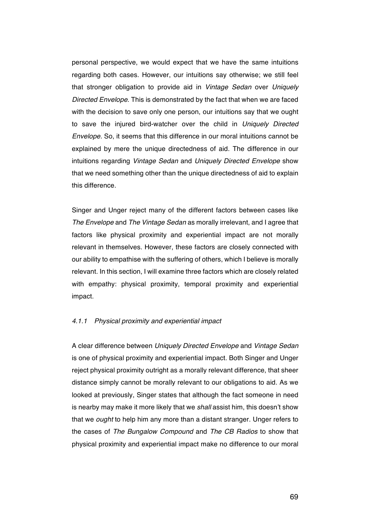personal perspective, we would expect that we have the same intuitions regarding both cases. However, our intuitions say otherwise; we still feel that stronger obligation to provide aid in *Vintage Sedan* over *Uniquely Directed Envelope*. This is demonstrated by the fact that when we are faced with the decision to save only one person, our intuitions say that we ought to save the injured bird-watcher over the child in *Uniquely Directed Envelope.* So, it seems that this difference in our moral intuitions cannot be explained by mere the unique directedness of aid. The difference in our intuitions regarding *Vintage Sedan* and *Uniquely Directed Envelope* show that we need something other than the unique directedness of aid to explain this difference.

Singer and Unger reject many of the different factors between cases like *The Envelope* and *The Vintage Sedan* as morally irrelevant, and I agree that factors like physical proximity and experiential impact are not morally relevant in themselves. However, these factors are closely connected with our ability to empathise with the suffering of others, which I believe is morally relevant. In this section, I will examine three factors which are closely related with empathy: physical proximity, temporal proximity and experiential impact.

### *4.1.1 Physical proximity and experiential impact*

A clear difference between *Uniquely Directed Envelope* and *Vintage Sedan* is one of physical proximity and experiential impact. Both Singer and Unger reject physical proximity outright as a morally relevant difference, that sheer distance simply cannot be morally relevant to our obligations to aid. As we looked at previously, Singer states that although the fact someone in need is nearby may make it more likely that we *shall* assist him, this doesn't show that we *ought* to help him any more than a distant stranger. Unger refers to the cases of *The Bungalow Compound* and *The CB Radios* to show that physical proximity and experiential impact make no difference to our moral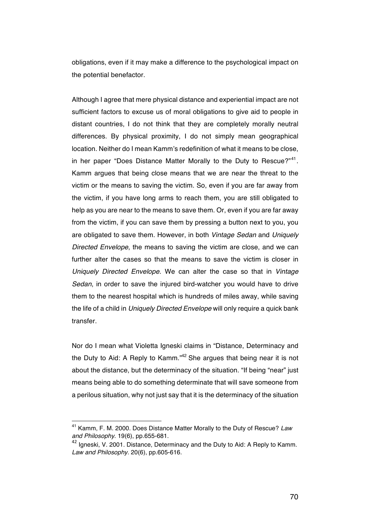obligations, even if it may make a difference to the psychological impact on the potential benefactor.

Although I agree that mere physical distance and experiential impact are not sufficient factors to excuse us of moral obligations to give aid to people in distant countries, I do not think that they are completely morally neutral differences. By physical proximity, I do not simply mean geographical location. Neither do I mean Kamm's redefinition of what it means to be close, in her paper "Does Distance Matter Morally to the Duty to Rescue?"<sup>41</sup>. Kamm argues that being close means that we are near the threat to the victim or the means to saving the victim. So, even if you are far away from the victim, if you have long arms to reach them, you are still obligated to help as you are near to the means to save them. Or, even if you are far away from the victim, if you can save them by pressing a button next to you, you are obligated to save them. However, in both *Vintage Sedan* and *Uniquely Directed Envelope*, the means to saving the victim are close, and we can further alter the cases so that the means to save the victim is closer in *Uniquely Directed Envelope.* We can alter the case so that in *Vintage Sedan*, in order to save the injured bird-watcher you would have to drive them to the nearest hospital which is hundreds of miles away, while saving the life of a child in *Uniquely Directed Envelope* will only require a quick bank transfer.

Nor do I mean what Violetta Igneski claims in "Distance, Determinacy and the Duty to Aid: A Reply to Kamm."<sup>42</sup> She argues that being near it is not about the distance, but the determinacy of the situation. "If being "near" just means being able to do something determinate that will save someone from a perilous situation, why not just say that it is the determinacy of the situation

<sup>41</sup> Kamm, F. M. 2000. Does Distance Matter Morally to the Duty of Rescue? *Law and Philosophy*. 19(6), pp.655-681.

<sup>&</sup>lt;sup>42</sup> Ianeski, V. 2001. Distance, Determinacy and the Duty to Aid: A Reply to Kamm. *Law and Philosophy.* 20(6), pp.605-616.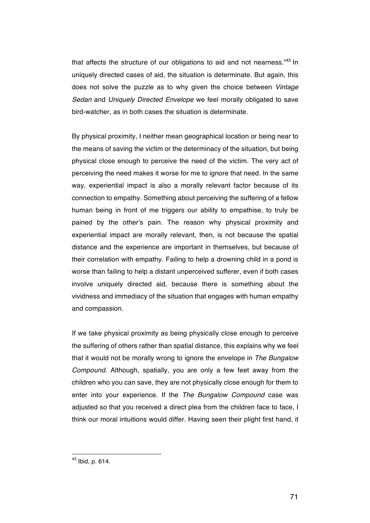that affects the structure of our obligations to aid and not nearness.<sup>43</sup> In uniquely directed cases of aid, the situation is determinate. But again, this does not solve the puzzle as to why given the choice between *Vintage Sedan* and *Uniquely Directed Envelope* we feel morally obligated to save bird-watcher, as in both cases the situation is determinate.

By physical proximity, I neither mean geographical location or being near to the means of saving the victim or the determinacy of the situation, but being physical close enough to perceive the need of the victim. The very act of perceiving the need makes it worse for me to ignore that need. In the same way, experiential impact is also a morally relevant factor because of its connection to empathy. Something about perceiving the suffering of a fellow human being in front of me triggers our ability to empathise, to truly be pained by the other's pain. The reason why physical proximity and experiential impact are morally relevant, then, is not because the spatial distance and the experience are important in themselves, but because of their correlation with empathy. Failing to help a drowning child in a pond is worse than failing to help a distant unperceived sufferer, even if both cases involve uniquely directed aid, because there is something about the vividness and immediacy of the situation that engages with human empathy and compassion.

If we take physical proximity as being physically close enough to perceive the suffering of others rather than spatial distance, this explains why we feel that it would not be morally wrong to ignore the envelope in *The Bungalow Compound.* Although, spatially, you are only a few feet away from the children who you can save, they are not physically close enough for them to enter into your experience. If the *The Bungalow Compound* case was adjusted so that you received a direct plea from the children face to face, I think our moral intuitions would differ. Having seen their plight first hand, it

<sup>43</sup> Ibid, p. 614.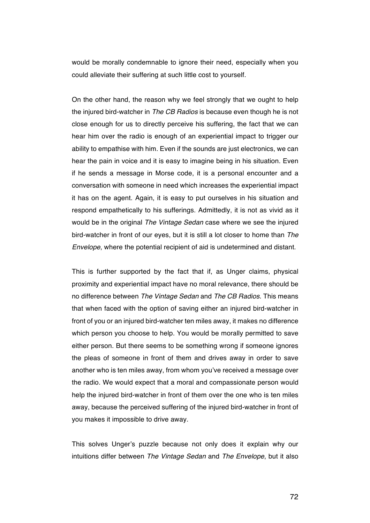would be morally condemnable to ignore their need, especially when you could alleviate their suffering at such little cost to yourself.

On the other hand, the reason why we feel strongly that we ought to help the injured bird-watcher in *The CB Radios* is because even though he is not close enough for us to directly perceive his suffering, the fact that we can hear him over the radio is enough of an experiential impact to trigger our ability to empathise with him. Even if the sounds are just electronics, we can hear the pain in voice and it is easy to imagine being in his situation. Even if he sends a message in Morse code, it is a personal encounter and a conversation with someone in need which increases the experiential impact it has on the agent. Again, it is easy to put ourselves in his situation and respond empathetically to his sufferings. Admittedly, it is not as vivid as it would be in the original *The Vintage Sedan* case where we see the injured bird-watcher in front of our eyes, but it is still a lot closer to home than *The Envelope*, where the potential recipient of aid is undetermined and distant.

This is further supported by the fact that if, as Unger claims, physical proximity and experiential impact have no moral relevance, there should be no difference between *The Vintage Sedan* and *The CB Radios*. This means that when faced with the option of saving either an injured bird-watcher in front of you or an injured bird-watcher ten miles away, it makes no difference which person you choose to help. You would be morally permitted to save either person. But there seems to be something wrong if someone ignores the pleas of someone in front of them and drives away in order to save another who is ten miles away, from whom you've received a message over the radio. We would expect that a moral and compassionate person would help the injured bird-watcher in front of them over the one who is ten miles away, because the perceived suffering of the injured bird-watcher in front of you makes it impossible to drive away.

This solves Unger's puzzle because not only does it explain why our intuitions differ between *The Vintage Sedan* and *The Envelope*, but it also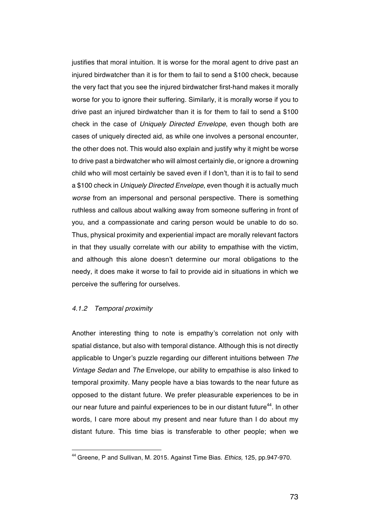justifies that moral intuition. It is worse for the moral agent to drive past an injured birdwatcher than it is for them to fail to send a \$100 check, because the very fact that you see the injured birdwatcher first-hand makes it morally worse for you to ignore their suffering. Similarly, it is morally worse if you to drive past an injured birdwatcher than it is for them to fail to send a \$100 check in the case of *Uniquely Directed Envelope*, even though both are cases of uniquely directed aid, as while one involves a personal encounter, the other does not. This would also explain and justify why it might be worse to drive past a birdwatcher who will almost certainly die, or ignore a drowning child who will most certainly be saved even if I don't, than it is to fail to send a \$100 check in *Uniquely Directed Envelope*, even though it is actually much *worse* from an impersonal and personal perspective. There is something ruthless and callous about walking away from someone suffering in front of you, and a compassionate and caring person would be unable to do so. Thus, physical proximity and experiential impact are morally relevant factors in that they usually correlate with our ability to empathise with the victim, and although this alone doesn't determine our moral obligations to the needy, it does make it worse to fail to provide aid in situations in which we perceive the suffering for ourselves.

## *4.1.2 Temporal proximity*

 

Another interesting thing to note is empathy's correlation not only with spatial distance, but also with temporal distance. Although this is not directly applicable to Unger's puzzle regarding our different intuitions between *The Vintage Sedan* and *The* Envelope, our ability to empathise is also linked to temporal proximity. Many people have a bias towards to the near future as opposed to the distant future. We prefer pleasurable experiences to be in our near future and painful experiences to be in our distant future<sup>44</sup>. In other words, I care more about my present and near future than I do about my distant future. This time bias is transferable to other people; when we

<sup>44</sup> Greene, P and Sullivan, M. 2015. Against Time Bias. *Ethics,* 125, pp.947-970.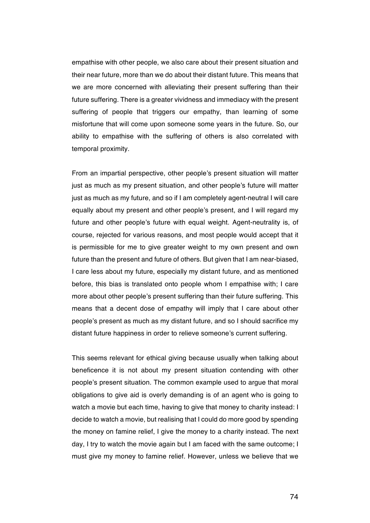empathise with other people, we also care about their present situation and their near future, more than we do about their distant future. This means that we are more concerned with alleviating their present suffering than their future suffering. There is a greater vividness and immediacy with the present suffering of people that triggers our empathy, than learning of some misfortune that will come upon someone some years in the future. So, our ability to empathise with the suffering of others is also correlated with temporal proximity.

From an impartial perspective, other people's present situation will matter just as much as my present situation, and other people's future will matter just as much as my future, and so if I am completely agent-neutral I will care equally about my present and other people's present, and I will regard my future and other people's future with equal weight. Agent-neutrality is, of course, rejected for various reasons, and most people would accept that it is permissible for me to give greater weight to my own present and own future than the present and future of others. But given that I am near-biased, I care less about my future, especially my distant future, and as mentioned before, this bias is translated onto people whom I empathise with; I care more about other people's present suffering than their future suffering. This means that a decent dose of empathy will imply that I care about other people's present as much as my distant future, and so I should sacrifice my distant future happiness in order to relieve someone's current suffering.

This seems relevant for ethical giving because usually when talking about beneficence it is not about my present situation contending with other people's present situation. The common example used to argue that moral obligations to give aid is overly demanding is of an agent who is going to watch a movie but each time, having to give that money to charity instead: I decide to watch a movie, but realising that I could do more good by spending the money on famine relief, I give the money to a charity instead. The next day, I try to watch the movie again but I am faced with the same outcome; I must give my money to famine relief. However, unless we believe that we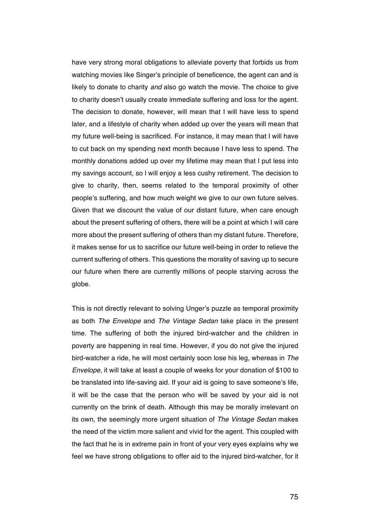have very strong moral obligations to alleviate poverty that forbids us from watching movies like Singer's principle of beneficence, the agent can and is likely to donate to charity *and* also go watch the movie. The choice to give to charity doesn't usually create immediate suffering and loss for the agent. The decision to donate, however, will mean that I will have less to spend later, and a lifestyle of charity when added up over the years will mean that my future well-being is sacrificed. For instance, it may mean that I will have to cut back on my spending next month because I have less to spend. The monthly donations added up over my lifetime may mean that I put less into my savings account, so l will enjoy a less cushy retirement. The decision to give to charity, then, seems related to the temporal proximity of other people's suffering, and how much weight we give to our own future selves. Given that we discount the value of our distant future, when care enough about the present suffering of others, there will be a point at which I will care more about the present suffering of others than my distant future. Therefore, it makes sense for us to sacrifice our future well-being in order to relieve the current suffering of others. This questions the morality of saving up to secure our future when there are currently millions of people starving across the globe.

This is not directly relevant to solving Unger's puzzle as temporal proximity as both *The Envelope* and *The Vintage Sedan* take place in the present time. The suffering of both the injured bird-watcher and the children in poverty are happening in real time. However, if you do not give the injured bird-watcher a ride, he will most certainly soon lose his leg, whereas in *The Envelope*, it will take at least a couple of weeks for your donation of \$100 to be translated into life-saving aid. If your aid is going to save someone's life, it will be the case that the person who will be saved by your aid is not currently on the brink of death. Although this may be morally irrelevant on its own, the seemingly more urgent situation of *The Vintage Sedan* makes the need of the victim more salient and vivid for the agent. This coupled with the fact that he is in extreme pain in front of your very eyes explains why we feel we have strong obligations to offer aid to the injured bird-watcher, for it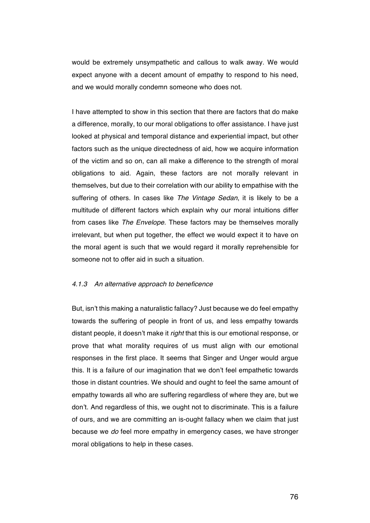would be extremely unsympathetic and callous to walk away. We would expect anyone with a decent amount of empathy to respond to his need, and we would morally condemn someone who does not.

I have attempted to show in this section that there are factors that do make a difference, morally, to our moral obligations to offer assistance. I have just looked at physical and temporal distance and experiential impact, but other factors such as the unique directedness of aid, how we acquire information of the victim and so on, can all make a difference to the strength of moral obligations to aid. Again, these factors are not morally relevant in themselves, but due to their correlation with our ability to empathise with the suffering of others. In cases like *The Vintage Sedan*, it is likely to be a multitude of different factors which explain why our moral intuitions differ from cases like *The Envelope*. These factors may be themselves morally irrelevant, but when put together, the effect we would expect it to have on the moral agent is such that we would regard it morally reprehensible for someone not to offer aid in such a situation.

### *4.1.3 An alternative approach to beneficence*

But, isn't this making a naturalistic fallacy? Just because we do feel empathy towards the suffering of people in front of us, and less empathy towards distant people, it doesn't make it *right* that this is our emotional response, or prove that what morality requires of us must align with our emotional responses in the first place. It seems that Singer and Unger would argue this. It is a failure of our imagination that we don't feel empathetic towards those in distant countries. We should and ought to feel the same amount of empathy towards all who are suffering regardless of where they are, but we don't. And regardless of this, we ought not to discriminate. This is a failure of ours, and we are committing an is-ought fallacy when we claim that just because we *do* feel more empathy in emergency cases, we have stronger moral obligations to help in these cases.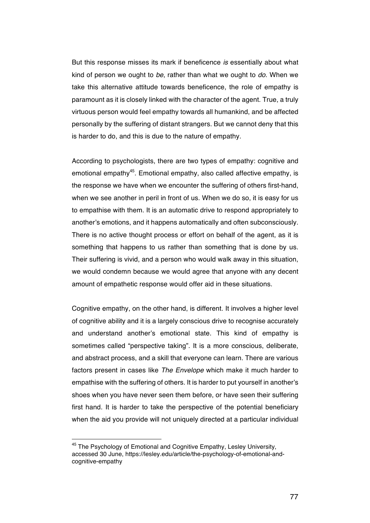But this response misses its mark if beneficence *is* essentially about what kind of person we ought to *be*, rather than what we ought to *do*. When we take this alternative attitude towards beneficence, the role of empathy is paramount as it is closely linked with the character of the agent. True, a truly virtuous person would feel empathy towards all humankind, and be affected personally by the suffering of distant strangers. But we cannot deny that this is harder to do, and this is due to the nature of empathy.

According to psychologists, there are two types of empathy: cognitive and emotional empathy<sup>45</sup>. Emotional empathy, also called affective empathy, is the response we have when we encounter the suffering of others first-hand, when we see another in peril in front of us. When we do so, it is easy for us to empathise with them. It is an automatic drive to respond appropriately to another's emotions, and it happens automatically and often subconsciously. There is no active thought process or effort on behalf of the agent, as it is something that happens to us rather than something that is done by us. Their suffering is vivid, and a person who would walk away in this situation, we would condemn because we would agree that anyone with any decent amount of empathetic response would offer aid in these situations.

Cognitive empathy, on the other hand, is different. It involves a higher level of cognitive ability and it is a largely conscious drive to recognise accurately and understand another's emotional state. This kind of empathy is sometimes called "perspective taking". It is a more conscious, deliberate, and abstract process, and a skill that everyone can learn. There are various factors present in cases like *The Envelope* which make it much harder to empathise with the suffering of others. It is harder to put yourself in another's shoes when you have never seen them before, or have seen their suffering first hand. It is harder to take the perspective of the potential beneficiary when the aid you provide will not uniquely directed at a particular individual

<sup>&</sup>lt;sup>45</sup> The Psychology of Emotional and Cognitive Empathy, Lesley University, accessed 30 June, https://lesley.edu/article/the-psychology-of-emotional-andcognitive-empathy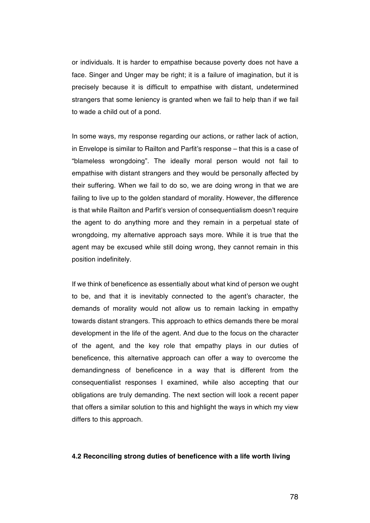or individuals. It is harder to empathise because poverty does not have a face. Singer and Unger may be right; it is a failure of imagination, but it is precisely because it is difficult to empathise with distant, undetermined strangers that some leniency is granted when we fail to help than if we fail to wade a child out of a pond.

In some ways, my response regarding our actions, or rather lack of action, in Envelope is similar to Railton and Parfit's response – that this is a case of "blameless wrongdoing". The ideally moral person would not fail to empathise with distant strangers and they would be personally affected by their suffering. When we fail to do so, we are doing wrong in that we are failing to live up to the golden standard of morality. However, the difference is that while Railton and Parfit's version of consequentialism doesn't require the agent to do anything more and they remain in a perpetual state of wrongdoing, my alternative approach says more. While it is true that the agent may be excused while still doing wrong, they cannot remain in this position indefinitely.

If we think of beneficence as essentially about what kind of person we ought to be, and that it is inevitably connected to the agent's character, the demands of morality would not allow us to remain lacking in empathy towards distant strangers. This approach to ethics demands there be moral development in the life of the agent. And due to the focus on the character of the agent, and the key role that empathy plays in our duties of beneficence, this alternative approach can offer a way to overcome the demandingness of beneficence in a way that is different from the consequentialist responses I examined, while also accepting that our obligations are truly demanding. The next section will look a recent paper that offers a similar solution to this and highlight the ways in which my view differs to this approach.

#### **4.2 Reconciling strong duties of beneficence with a life worth living**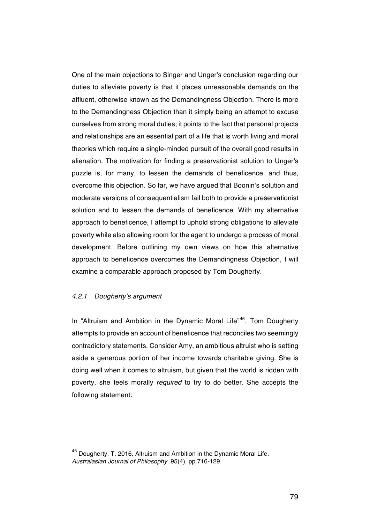One of the main objections to Singer and Unger's conclusion regarding our duties to alleviate poverty is that it places unreasonable demands on the affluent, otherwise known as the Demandingness Objection. There is more to the Demandingness Objection than it simply being an attempt to excuse ourselves from strong moral duties; it points to the fact that personal projects and relationships are an essential part of a life that is worth living and moral theories which require a single-minded pursuit of the overall good results in alienation. The motivation for finding a preservationist solution to Unger's puzzle is, for many, to lessen the demands of beneficence, and thus, overcome this objection. So far, we have argued that Boonin's solution and moderate versions of consequentialism fail both to provide a preservationist solution and to lessen the demands of beneficence. With my alternative approach to beneficence, I attempt to uphold strong obligations to alleviate poverty while also allowing room for the agent to undergo a process of moral development. Before outlining my own views on how this alternative approach to beneficence overcomes the Demandingness Objection, I will examine a comparable approach proposed by Tom Dougherty.

## *4.2.1 Dougherty's argument*

 

In "Altruism and Ambition in the Dynamic Moral Life"<sup>46</sup>, Tom Dougherty attempts to provide an account of beneficence that reconciles two seemingly contradictory statements. Consider Amy, an ambitious altruist who is setting aside a generous portion of her income towards charitable giving. She is doing well when it comes to altruism, but given that the world is ridden with poverty, she feels morally *required* to try to do better. She accepts the following statement:

 $^{46}$  Dougherty, T. 2016. Altruism and Ambition in the Dynamic Moral Life. *Australasian Journal of Philosophy.* 95(4), pp.716-129.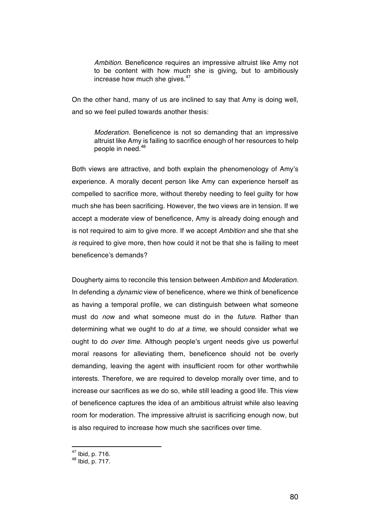*Ambition*. Beneficence requires an impressive altruist like Amy not to be content with how much she is giving, but to ambitiously increase how much she gives.<sup>47</sup>

On the other hand, many of us are inclined to say that Amy is doing well, and so we feel pulled towards another thesis:

*Moderation.* Beneficence is not so demanding that an impressive altruist like Amy is failing to sacrifice enough of her resources to help people in need.48

Both views are attractive, and both explain the phenomenology of Amy's experience. A morally decent person like Amy can experience herself as compelled to sacrifice more, without thereby needing to feel guilty for how much she has been sacrificing. However, the two views are in tension. If we accept a moderate view of beneficence, Amy is already doing enough and is not required to aim to give more. If we accept *Ambition* and she that she *is* required to give more, then how could it not be that she is failing to meet beneficence's demands?

Dougherty aims to reconcile this tension between *Ambition* and *Moderation*. In defending a *dynamic* view of beneficence, where we think of beneficence as having a temporal profile, we can distinguish between what someone must do *now* and what someone must do in the *future*. Rather than determining what we ought to do *at a time*, we should consider what we ought to do *over time*. Although people's urgent needs give us powerful moral reasons for alleviating them, beneficence should not be overly demanding, leaving the agent with insufficient room for other worthwhile interests. Therefore, we are required to develop morally over time, and to increase our sacrifices as we do so, while still leading a good life. This view of beneficence captures the idea of an ambitious altruist while also leaving room for moderation. The impressive altruist is sacrificing enough now, but is also required to increase how much she sacrifices over time.

<sup>47</sup> Ibid, p. 716.

<sup>48</sup> Ibid, p. 717.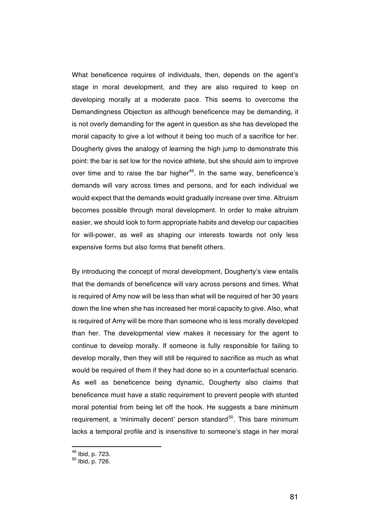What beneficence requires of individuals, then, depends on the agent's stage in moral development, and they are also required to keep on developing morally at a moderate pace. This seems to overcome the Demandingness Objection as although beneficence may be demanding, it is not overly demanding for the agent in question as she has developed the moral capacity to give a lot without it being too much of a sacrifice for her. Dougherty gives the analogy of learning the high jump to demonstrate this point: the bar is set low for the novice athlete, but she should aim to improve over time and to raise the bar higher<sup>49</sup>. In the same way, beneficence's demands will vary across times and persons, and for each individual we would expect that the demands would gradually increase over time. Altruism becomes possible through moral development. In order to make altruism easier, we should look to form appropriate habits and develop our capacities for will-power, as well as shaping our interests towards not only less expensive forms but also forms that benefit others.

By introducing the concept of moral development, Dougherty's view entails that the demands of beneficence will vary across persons and times. What is required of Amy now will be less than what will be required of her 30 years down the line when she has increased her moral capacity to give. Also, what is required of Amy will be more than someone who is less morally developed than her. The developmental view makes it necessary for the agent to continue to develop morally. If someone is fully responsible for failing to develop morally, then they will still be required to sacrifice as much as what would be required of them if they had done so in a counterfactual scenario. As well as beneficence being dynamic, Dougherty also claims that beneficence must have a static requirement to prevent people with stunted moral potential from being let off the hook. He suggests a bare minimum requirement, a 'minimally decent' person standard<sup>50</sup>. This bare minimum lacks a temporal profile and is insensitive to someone's stage in her moral

<sup>49</sup> Ibid, p. 723.

<sup>50</sup> Ibid, p. 726.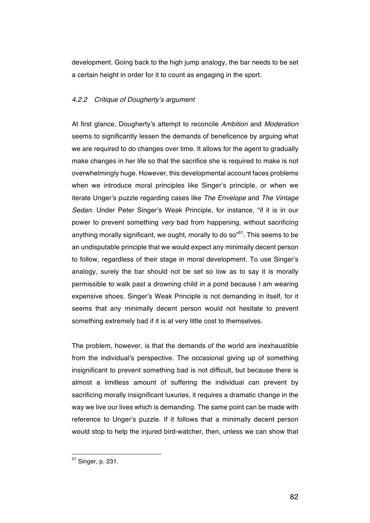development. Going back to the high jump analogy, the bar needs to be set a certain height in order for it to count as engaging in the sport.

## *4.2.2 Critique of Dougherty's argument*

At first glance, Dougherty's attempt to reconcile *Ambition* and *Moderation*  seems to significantly lessen the demands of beneficence by arguing what we are required to do changes over time. It allows for the agent to gradually make changes in her life so that the sacrifice she is required to make is not overwhelmingly huge. However, this developmental account faces problems when we introduce moral principles like Singer's principle, or when we iterate Unger's puzzle regarding cases like *The Envelope* and *The Vintage Sedan.* Under Peter Singer's Weak Principle, for instance, "if it is in our power to prevent something *very* bad from happening, without sacrificing anything morally significant, we ought, morally to do so<sup> $51$ </sup>. This seems to be an undisputable principle that we would expect any minimally decent person to follow, regardless of their stage in moral development. To use Singer's analogy, surely the bar should not be set so low as to say it is morally permissible to walk past a drowning child in a pond because I am wearing expensive shoes. Singer's Weak Principle is not demanding in itself, for it seems that any minimally decent person would not hesitate to prevent something extremely bad if it is at very little cost to themselves.

The problem, however, is that the demands of the world are inexhaustible from the individual's perspective. The occasional giving up of something insignificant to prevent something bad is not difficult, but because there is almost a limitless amount of suffering the individual can prevent by sacrificing morally insignificant luxuries, it requires a dramatic change in the way we live our lives which is demanding. The same point can be made with reference to Unger's puzzle. If it follows that a minimally decent person would stop to help the injured bird-watcher, then, unless we can show that

<sup>51</sup> Singer, p. 231.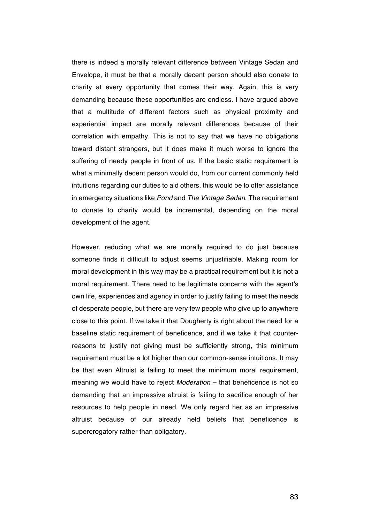there is indeed a morally relevant difference between Vintage Sedan and Envelope, it must be that a morally decent person should also donate to charity at every opportunity that comes their way. Again, this is very demanding because these opportunities are endless. I have argued above that a multitude of different factors such as physical proximity and experiential impact are morally relevant differences because of their correlation with empathy. This is not to say that we have no obligations toward distant strangers, but it does make it much worse to ignore the suffering of needy people in front of us. If the basic static requirement is what a minimally decent person would do, from our current commonly held intuitions regarding our duties to aid others, this would be to offer assistance in emergency situations like *Pond* and *The Vintage Sedan*. The requirement to donate to charity would be incremental, depending on the moral development of the agent.

However, reducing what we are morally required to do just because someone finds it difficult to adjust seems unjustifiable. Making room for moral development in this way may be a practical requirement but it is not a moral requirement. There need to be legitimate concerns with the agent's own life, experiences and agency in order to justify failing to meet the needs of desperate people, but there are very few people who give up to anywhere close to this point. If we take it that Dougherty is right about the need for a baseline static requirement of beneficence, and if we take it that counterreasons to justify not giving must be sufficiently strong, this minimum requirement must be a lot higher than our common-sense intuitions. It may be that even Altruist is failing to meet the minimum moral requirement, meaning we would have to reject *Moderation* – that beneficence is not so demanding that an impressive altruist is failing to sacrifice enough of her resources to help people in need. We only regard her as an impressive altruist because of our already held beliefs that beneficence is supererogatory rather than obligatory.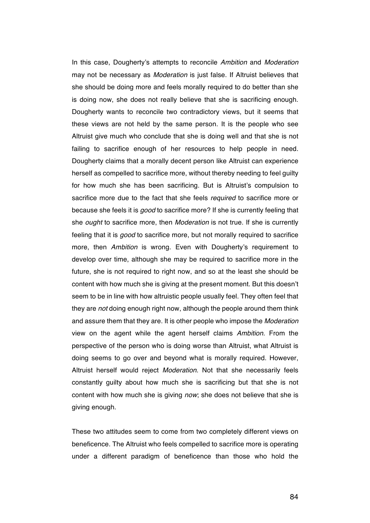In this case, Dougherty's attempts to reconcile *Ambition* and *Moderation* may not be necessary as *Moderation* is just false. If Altruist believes that she should be doing more and feels morally required to do better than she is doing now, she does not really believe that she is sacrificing enough. Dougherty wants to reconcile two contradictory views, but it seems that these views are not held by the same person. It is the people who see Altruist give much who conclude that she is doing well and that she is not failing to sacrifice enough of her resources to help people in need. Dougherty claims that a morally decent person like Altruist can experience herself as compelled to sacrifice more, without thereby needing to feel guilty for how much she has been sacrificing. But is Altruist's compulsion to sacrifice more due to the fact that she feels *required* to sacrifice more or because she feels it is *good* to sacrifice more? If she is currently feeling that she *ought* to sacrifice more, then *Moderation* is not true. If she is currently feeling that it is *good* to sacrifice more, but not morally required to sacrifice more, then *Ambition* is wrong. Even with Dougherty's requirement to develop over time, although she may be required to sacrifice more in the future, she is not required to right now, and so at the least she should be content with how much she is giving at the present moment. But this doesn't seem to be in line with how altruistic people usually feel. They often feel that they are *not* doing enough right now, although the people around them think and assure them that they are. It is other people who impose the *Moderation* view on the agent while the agent herself claims *Ambition*. From the perspective of the person who is doing worse than Altruist, what Altruist is doing seems to go over and beyond what is morally required. However, Altruist herself would reject *Moderation*. Not that she necessarily feels constantly guilty about how much she is sacrificing but that she is not content with how much she is giving *now*; she does not believe that she is giving enough.

These two attitudes seem to come from two completely different views on beneficence. The Altruist who feels compelled to sacrifice more is operating under a different paradigm of beneficence than those who hold the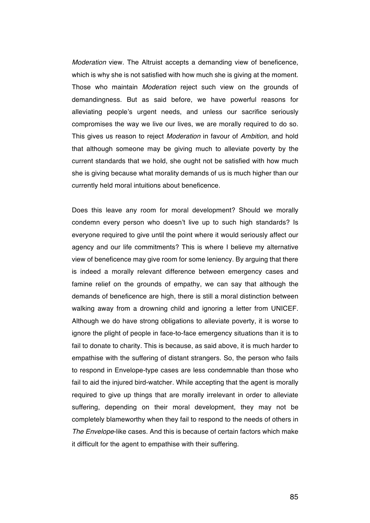*Moderation* view. The Altruist accepts a demanding view of beneficence, which is why she is not satisfied with how much she is giving at the moment. Those who maintain *Moderation* reject such view on the grounds of demandingness. But as said before, we have powerful reasons for alleviating people's urgent needs, and unless our sacrifice seriously compromises the way we live our lives, we are morally required to do so. This gives us reason to reject *Moderation* in favour of *Ambition*, and hold that although someone may be giving much to alleviate poverty by the current standards that we hold, she ought not be satisfied with how much she is giving because what morality demands of us is much higher than our currently held moral intuitions about beneficence.

Does this leave any room for moral development? Should we morally condemn every person who doesn't live up to such high standards? Is everyone required to give until the point where it would seriously affect our agency and our life commitments? This is where I believe my alternative view of beneficence may give room for some leniency. By arguing that there is indeed a morally relevant difference between emergency cases and famine relief on the grounds of empathy, we can say that although the demands of beneficence are high, there is still a moral distinction between walking away from a drowning child and ignoring a letter from UNICEF. Although we do have strong obligations to alleviate poverty, it is worse to ignore the plight of people in face-to-face emergency situations than it is to fail to donate to charity. This is because, as said above, it is much harder to empathise with the suffering of distant strangers. So, the person who fails to respond in Envelope-type cases are less condemnable than those who fail to aid the injured bird-watcher. While accepting that the agent is morally required to give up things that are morally irrelevant in order to alleviate suffering, depending on their moral development, they may not be completely blameworthy when they fail to respond to the needs of others in *The Envelope*-like cases. And this is because of certain factors which make it difficult for the agent to empathise with their suffering.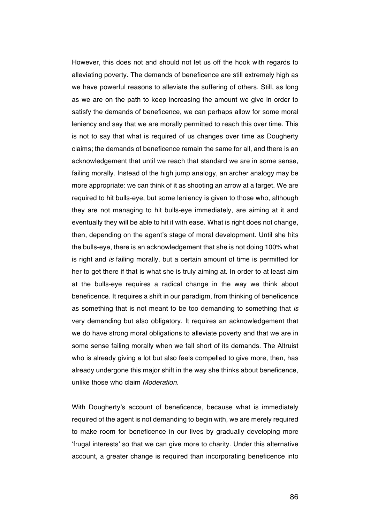However, this does not and should not let us off the hook with regards to alleviating poverty. The demands of beneficence are still extremely high as we have powerful reasons to alleviate the suffering of others. Still, as long as we are on the path to keep increasing the amount we give in order to satisfy the demands of beneficence, we can perhaps allow for some moral leniency and say that we are morally permitted to reach this over time. This is not to say that what is required of us changes over time as Dougherty claims; the demands of beneficence remain the same for all, and there is an acknowledgement that until we reach that standard we are in some sense, failing morally. Instead of the high jump analogy, an archer analogy may be more appropriate: we can think of it as shooting an arrow at a target. We are required to hit bulls-eye, but some leniency is given to those who, although they are not managing to hit bulls-eye immediately, are aiming at it and eventually they will be able to hit it with ease. What is right does not change, then, depending on the agent's stage of moral development. Until she hits the bulls-eye, there is an acknowledgement that she is not doing 100% what is right and *is* failing morally, but a certain amount of time is permitted for her to get there if that is what she is truly aiming at. In order to at least aim at the bulls-eye requires a radical change in the way we think about beneficence. It requires a shift in our paradigm, from thinking of beneficence as something that is not meant to be too demanding to something that *is*  very demanding but also obligatory. It requires an acknowledgement that we do have strong moral obligations to alleviate poverty and that we are in some sense failing morally when we fall short of its demands. The Altruist who is already giving a lot but also feels compelled to give more, then, has already undergone this major shift in the way she thinks about beneficence, unlike those who claim *Moderation*.

With Dougherty's account of beneficence, because what is immediately required of the agent is not demanding to begin with, we are merely required to make room for beneficence in our lives by gradually developing more 'frugal interests' so that we can give more to charity. Under this alternative account, a greater change is required than incorporating beneficence into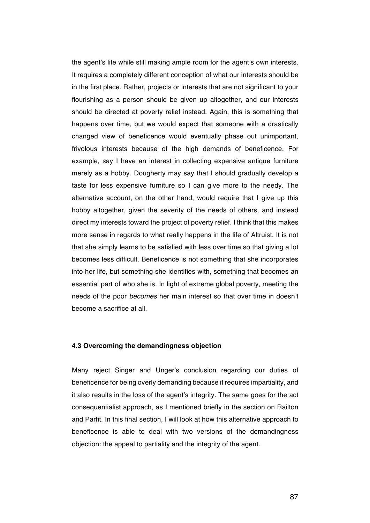the agent's life while still making ample room for the agent's own interests. It requires a completely different conception of what our interests should be in the first place. Rather, projects or interests that are not significant to your flourishing as a person should be given up altogether, and our interests should be directed at poverty relief instead. Again, this is something that happens over time, but we would expect that someone with a drastically changed view of beneficence would eventually phase out unimportant, frivolous interests because of the high demands of beneficence. For example, say I have an interest in collecting expensive antique furniture merely as a hobby. Dougherty may say that I should gradually develop a taste for less expensive furniture so I can give more to the needy. The alternative account, on the other hand, would require that I give up this hobby altogether, given the severity of the needs of others, and instead direct my interests toward the project of poverty relief. I think that this makes more sense in regards to what really happens in the life of Altruist. It is not that she simply learns to be satisfied with less over time so that giving a lot becomes less difficult. Beneficence is not something that she incorporates into her life, but something she identifies with, something that becomes an essential part of who she is. In light of extreme global poverty, meeting the needs of the poor *becomes* her main interest so that over time in doesn't become a sacrifice at all.

### **4.3 Overcoming the demandingness objection**

Many reject Singer and Unger's conclusion regarding our duties of beneficence for being overly demanding because it requires impartiality, and it also results in the loss of the agent's integrity. The same goes for the act consequentialist approach, as I mentioned briefly in the section on Railton and Parfit. In this final section, I will look at how this alternative approach to beneficence is able to deal with two versions of the demandingness objection: the appeal to partiality and the integrity of the agent.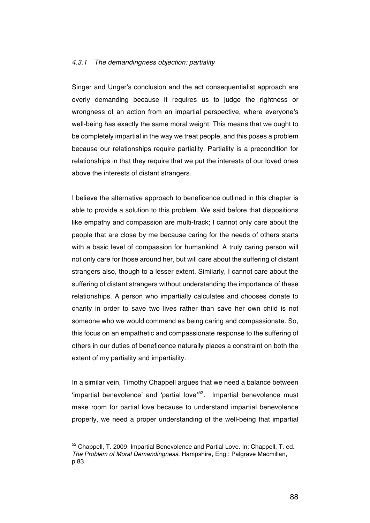#### *4.3.1 The demandingness objection: partiality*

Singer and Unger's conclusion and the act consequentialist approach are overly demanding because it requires us to judge the rightness or wrongness of an action from an impartial perspective, where everyone's well-being has exactly the same moral weight. This means that we ought to be completely impartial in the way we treat people, and this poses a problem because our relationships require partiality. Partiality is a precondition for relationships in that they require that we put the interests of our loved ones above the interests of distant strangers.

I believe the alternative approach to beneficence outlined in this chapter is able to provide a solution to this problem. We said before that dispositions like empathy and compassion are multi-track; I cannot only care about the people that are close by me because caring for the needs of others starts with a basic level of compassion for humankind. A truly caring person will not only care for those around her, but will care about the suffering of distant strangers also, though to a lesser extent. Similarly, I cannot care about the suffering of distant strangers without understanding the importance of these relationships. A person who impartially calculates and chooses donate to charity in order to save two lives rather than save her own child is not someone who we would commend as being caring and compassionate. So, this focus on an empathetic and compassionate response to the suffering of others in our duties of beneficence naturally places a constraint on both the extent of my partiality and impartiality.

In a similar vein, Timothy Chappell argues that we need a balance between 'impartial benevolence' and 'partial love'<sup>52</sup>. Impartial benevolence must make room for partial love because to understand impartial benevolence properly, we need a proper understanding of the well-being that impartial

<sup>52</sup> Chappell, T. 2009. Impartial Benevolence and Partial Love. In: Chappell, T. ed. *The Problem of Moral Demandingness*. Hampshire, Eng,: Palgrave Macmillan, p.83.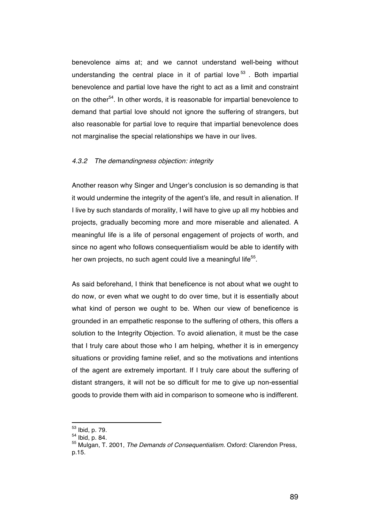benevolence aims at; and we cannot understand well-being without understanding the central place in it of partial love  $53$ . Both impartial benevolence and partial love have the right to act as a limit and constraint on the other<sup>54</sup>. In other words, it is reasonable for impartial benevolence to demand that partial love should not ignore the suffering of strangers, but also reasonable for partial love to require that impartial benevolence does not marginalise the special relationships we have in our lives.

#### *4.3.2 The demandingness objection: integrity*

Another reason why Singer and Unger's conclusion is so demanding is that it would undermine the integrity of the agent's life, and result in alienation. If I live by such standards of morality, I will have to give up all my hobbies and projects, gradually becoming more and more miserable and alienated. A meaningful life is a life of personal engagement of projects of worth, and since no agent who follows consequentialism would be able to identify with her own projects, no such agent could live a meaningful life<sup>55</sup>.

As said beforehand, I think that beneficence is not about what we ought to do now, or even what we ought to do over time, but it is essentially about what kind of person we ought to be. When our view of beneficence is grounded in an empathetic response to the suffering of others, this offers a solution to the Integrity Objection. To avoid alienation, it must be the case that I truly care about those who I am helping, whether it is in emergency situations or providing famine relief, and so the motivations and intentions of the agent are extremely important. If I truly care about the suffering of distant strangers, it will not be so difficult for me to give up non-essential goods to provide them with aid in comparison to someone who is indifferent.

<sup>&</sup>lt;sup>53</sup> Ibid, p. 79.<br><sup>54</sup> Ibid, p. 84.<br><sup>55</sup> Mulgan, T. 2001, *The Demands of Consequentialism.* Oxford: Clarendon Press, p.15.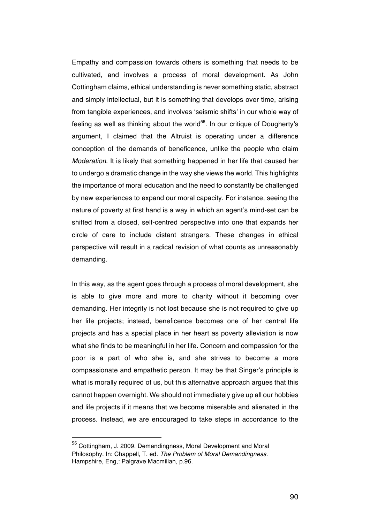Empathy and compassion towards others is something that needs to be cultivated, and involves a process of moral development. As John Cottingham claims, ethical understanding is never something static, abstract and simply intellectual, but it is something that develops over time, arising from tangible experiences, and involves 'seismic shifts' in our whole way of feeling as well as thinking about the world<sup>56</sup>. In our critique of Dougherty's argument, I claimed that the Altruist is operating under a difference conception of the demands of beneficence, unlike the people who claim *Moderation*. It is likely that something happened in her life that caused her to undergo a dramatic change in the way she views the world. This highlights the importance of moral education and the need to constantly be challenged by new experiences to expand our moral capacity. For instance, seeing the nature of poverty at first hand is a way in which an agent's mind-set can be shifted from a closed, self-centred perspective into one that expands her circle of care to include distant strangers. These changes in ethical perspective will result in a radical revision of what counts as unreasonably demanding.

In this way, as the agent goes through a process of moral development, she is able to give more and more to charity without it becoming over demanding. Her integrity is not lost because she is not required to give up her life projects; instead, beneficence becomes one of her central life projects and has a special place in her heart as poverty alleviation is now what she finds to be meaningful in her life. Concern and compassion for the poor is a part of who she is, and she strives to become a more compassionate and empathetic person. It may be that Singer's principle is what is morally required of us, but this alternative approach argues that this cannot happen overnight. We should not immediately give up all our hobbies and life projects if it means that we become miserable and alienated in the process. Instead, we are encouraged to take steps in accordance to the

<sup>56</sup> Cottingham, J. 2009. Demandingness, Moral Development and Moral Philosophy. In: Chappell, T. ed. *The Problem of Moral Demandingness*. Hampshire, Eng,: Palgrave Macmillan, p.96.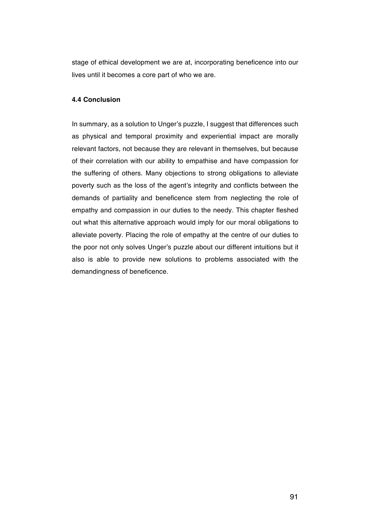stage of ethical development we are at, incorporating beneficence into our lives until it becomes a core part of who we are.

## **4.4 Conclusion**

In summary, as a solution to Unger's puzzle, I suggest that differences such as physical and temporal proximity and experiential impact are morally relevant factors, not because they are relevant in themselves, but because of their correlation with our ability to empathise and have compassion for the suffering of others. Many objections to strong obligations to alleviate poverty such as the loss of the agent's integrity and conflicts between the demands of partiality and beneficence stem from neglecting the role of empathy and compassion in our duties to the needy. This chapter fleshed out what this alternative approach would imply for our moral obligations to alleviate poverty. Placing the role of empathy at the centre of our duties to the poor not only solves Unger's puzzle about our different intuitions but it also is able to provide new solutions to problems associated with the demandingness of beneficence.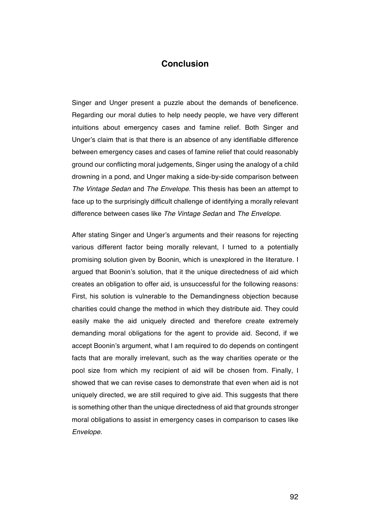# **Conclusion**

Singer and Unger present a puzzle about the demands of beneficence. Regarding our moral duties to help needy people, we have very different intuitions about emergency cases and famine relief. Both Singer and Unger's claim that is that there is an absence of any identifiable difference between emergency cases and cases of famine relief that could reasonably ground our conflicting moral judgements, Singer using the analogy of a child drowning in a pond, and Unger making a side-by-side comparison between *The Vintage Sedan* and *The Envelope.* This thesis has been an attempt to face up to the surprisingly difficult challenge of identifying a morally relevant difference between cases like *The Vintage Sedan* and *The Envelope*.

After stating Singer and Unger's arguments and their reasons for rejecting various different factor being morally relevant, I turned to a potentially promising solution given by Boonin, which is unexplored in the literature. I argued that Boonin's solution, that it the unique directedness of aid which creates an obligation to offer aid, is unsuccessful for the following reasons: First, his solution is vulnerable to the Demandingness objection because charities could change the method in which they distribute aid. They could easily make the aid uniquely directed and therefore create extremely demanding moral obligations for the agent to provide aid. Second, if we accept Boonin's argument, what I am required to do depends on contingent facts that are morally irrelevant, such as the way charities operate or the pool size from which my recipient of aid will be chosen from. Finally, I showed that we can revise cases to demonstrate that even when aid is not uniquely directed, we are still required to give aid. This suggests that there is something other than the unique directedness of aid that grounds stronger moral obligations to assist in emergency cases in comparison to cases like *Envelope*.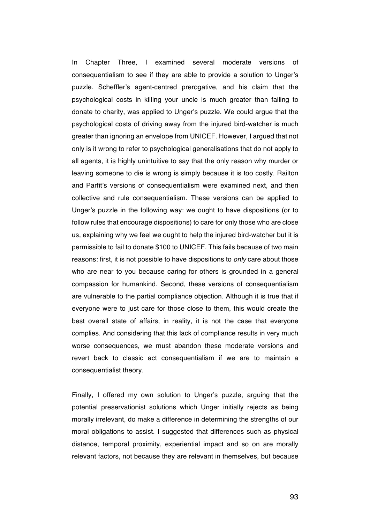In Chapter Three, I examined several moderate versions of consequentialism to see if they are able to provide a solution to Unger's puzzle. Scheffler's agent-centred prerogative, and his claim that the psychological costs in killing your uncle is much greater than failing to donate to charity, was applied to Unger's puzzle. We could argue that the psychological costs of driving away from the injured bird-watcher is much greater than ignoring an envelope from UNICEF. However, I argued that not only is it wrong to refer to psychological generalisations that do not apply to all agents, it is highly unintuitive to say that the only reason why murder or leaving someone to die is wrong is simply because it is too costly. Railton and Parfit's versions of consequentialism were examined next, and then collective and rule consequentialism. These versions can be applied to Unger's puzzle in the following way: we ought to have dispositions (or to follow rules that encourage dispositions) to care for only those who are close us, explaining why we feel we ought to help the injured bird-watcher but it is permissible to fail to donate \$100 to UNICEF. This fails because of two main reasons: first, it is not possible to have dispositions to *only* care about those who are near to you because caring for others is grounded in a general compassion for humankind. Second, these versions of consequentialism are vulnerable to the partial compliance objection. Although it is true that if everyone were to just care for those close to them, this would create the best overall state of affairs, in reality, it is not the case that everyone complies. And considering that this lack of compliance results in very much worse consequences, we must abandon these moderate versions and revert back to classic act consequentialism if we are to maintain a consequentialist theory.

Finally, I offered my own solution to Unger's puzzle, arguing that the potential preservationist solutions which Unger initially rejects as being morally irrelevant, do make a difference in determining the strengths of our moral obligations to assist. I suggested that differences such as physical distance, temporal proximity, experiential impact and so on are morally relevant factors, not because they are relevant in themselves, but because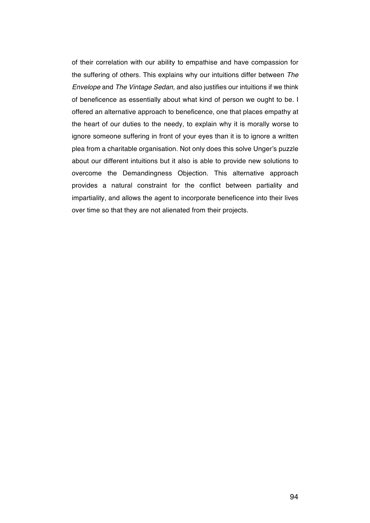of their correlation with our ability to empathise and have compassion for the suffering of others. This explains why our intuitions differ between *The Envelope* and *The Vintage Sedan*, and also justifies our intuitions if we think of beneficence as essentially about what kind of person we ought to be. I offered an alternative approach to beneficence, one that places empathy at the heart of our duties to the needy, to explain why it is morally worse to ignore someone suffering in front of your eyes than it is to ignore a written plea from a charitable organisation. Not only does this solve Unger's puzzle about our different intuitions but it also is able to provide new solutions to overcome the Demandingness Objection. This alternative approach provides a natural constraint for the conflict between partiality and impartiality, and allows the agent to incorporate beneficence into their lives over time so that they are not alienated from their projects.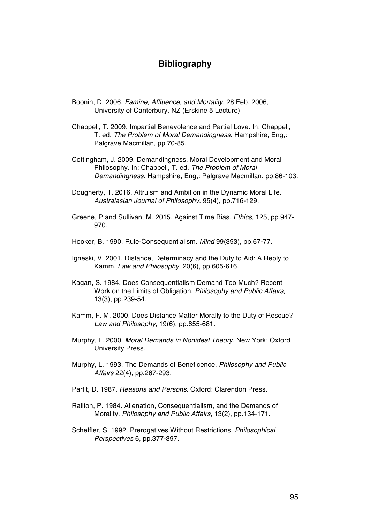# **Bibliography**

- Boonin, D. 2006. *Famine, Affluence, and Mortality*. 28 Feb, 2006, University of Canterbury, NZ (Erskine 5 Lecture)
- Chappell, T. 2009. Impartial Benevolence and Partial Love. In: Chappell, T. ed. *The Problem of Moral Demandingness*. Hampshire, Eng,: Palgrave Macmillan, pp.70-85.
- Cottingham, J. 2009. Demandingness, Moral Development and Moral Philosophy. In: Chappell, T. ed. *The Problem of Moral Demandingness*. Hampshire, Eng,: Palgrave Macmillan, pp.86-103.
- Dougherty, T. 2016. Altruism and Ambition in the Dynamic Moral Life. *Australasian Journal of Philosophy.* 95(4), pp.716-129.
- Greene, P and Sullivan, M. 2015. Against Time Bias. *Ethics,* 125, pp.947- 970.
- Hooker, B. 1990. Rule-Consequentialism. *Mind* 99(393), pp.67-77.
- Igneski, V. 2001. Distance, Determinacy and the Duty to Aid: A Reply to Kamm. *Law and Philosophy.* 20(6), pp.605-616.
- Kagan, S. 1984. Does Consequentialism Demand Too Much? Recent Work on the Limits of Obligation. *Philosophy and Public Affairs*, 13(3), pp.239-54.
- Kamm, F. M. 2000. Does Distance Matter Morally to the Duty of Rescue? *Law and Philosophy*, 19(6), pp.655-681.
- Murphy, L. 2000. *Moral Demands in Nonideal Theory*. New York: Oxford University Press.
- Murphy, L. 1993. The Demands of Beneficence. *Philosophy and Public Affairs* 22(4), pp.267-293.
- Parfit, D. 1987. *Reasons and Persons*. Oxford: Clarendon Press.
- Railton, P. 1984. Alienation, Consequentialism, and the Demands of Morality. *Philosophy and Public Affairs*, 13(2), pp.134-171.
- Scheffler, S. 1992. Prerogatives Without Restrictions. *Philosophical Perspectives* 6, pp.377-397.